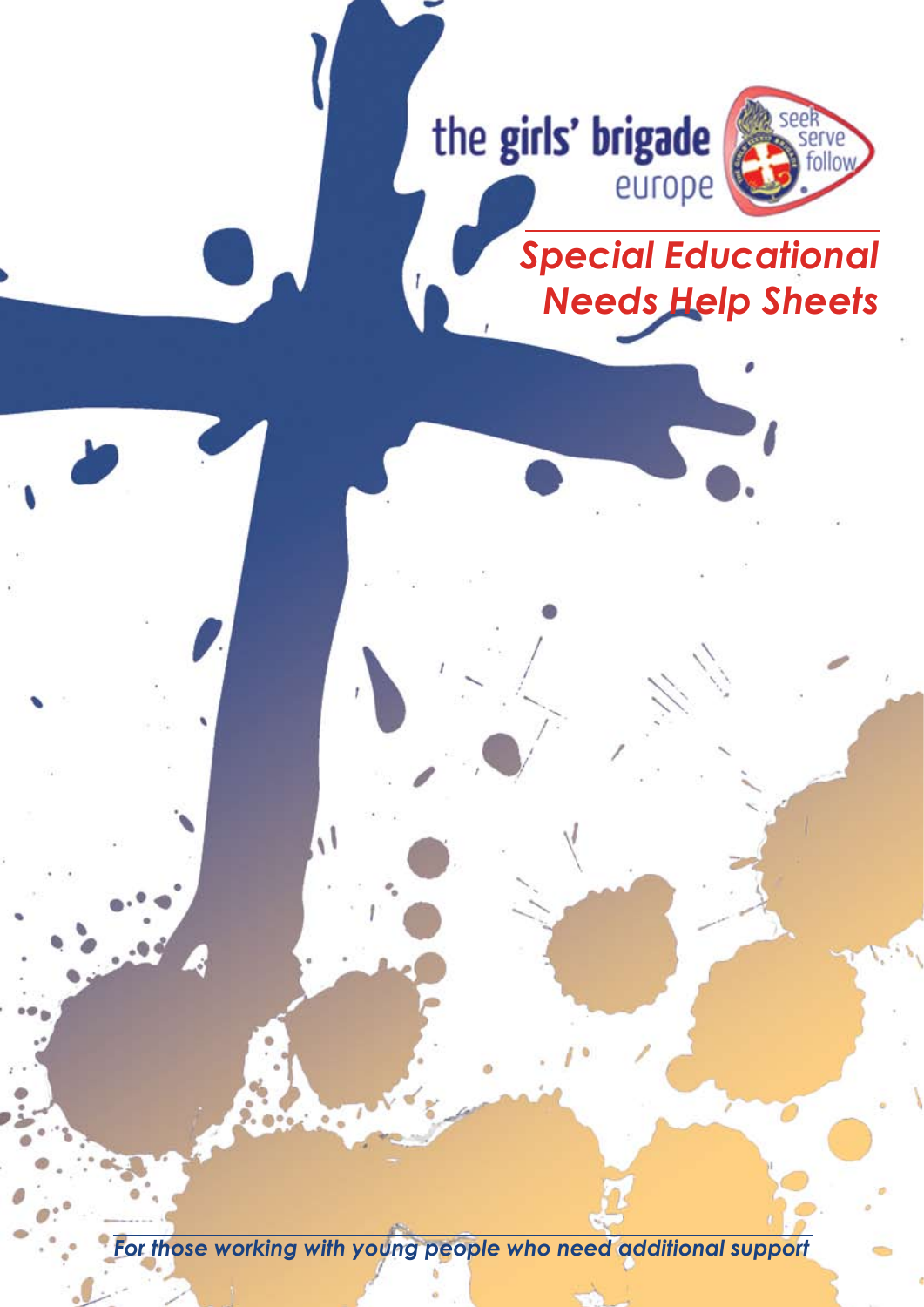

*For those working with young people who need additional support*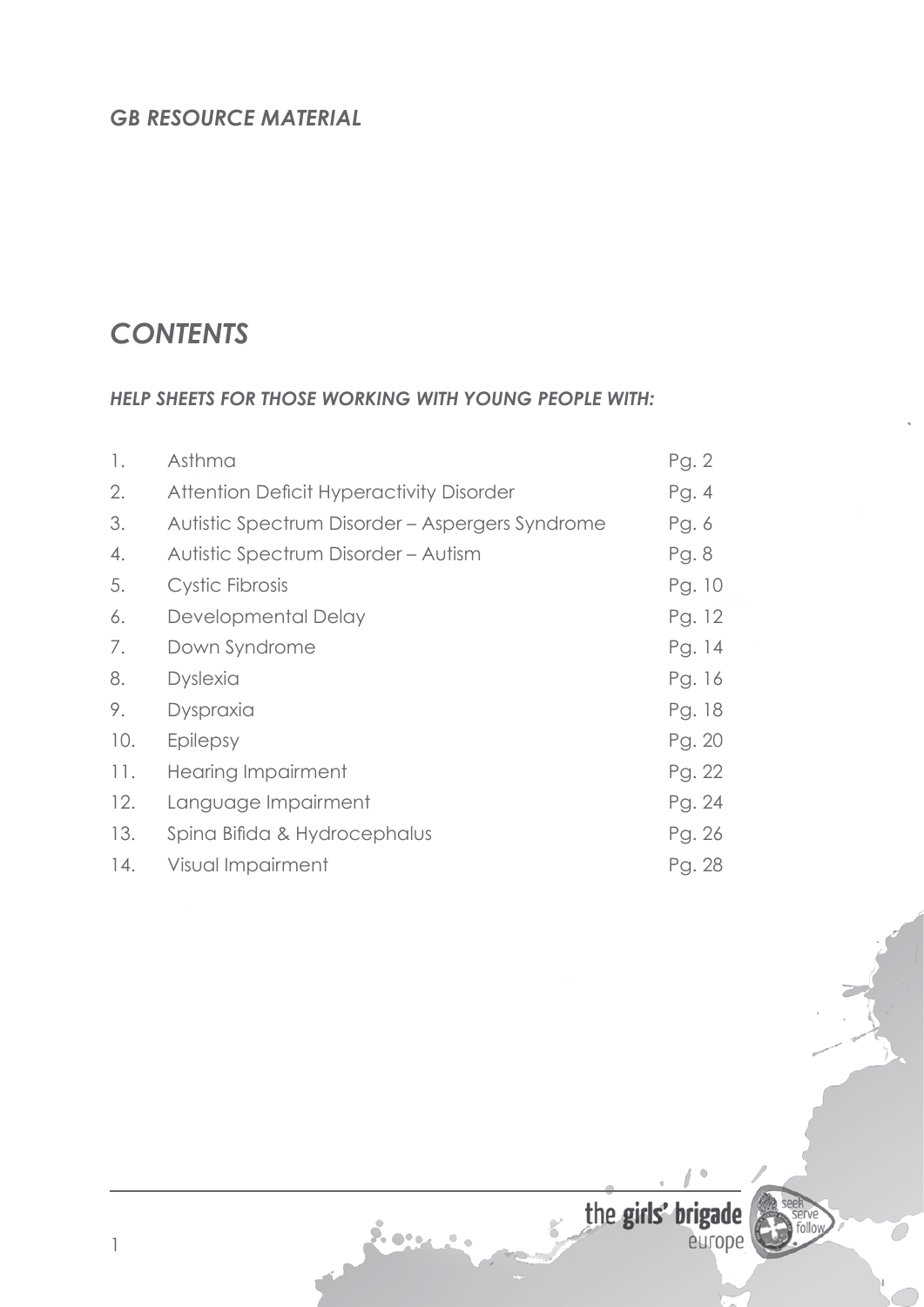# *GB RESOURCE MATERIAL*

# *CONTENTS*

1

#### *HELP SHEETS FOR THOSE WORKING WITH YOUNG PEOPLE WITH:*

| 1.  | Asthma                                          | Pg. 2  |
|-----|-------------------------------------------------|--------|
| 2.  | Attention Deficit Hyperactivity Disorder        | Pg.4   |
| 3.  | Autistic Spectrum Disorder - Aspergers Syndrome | Pg. 6  |
| 4.  | Autistic Spectrum Disorder - Autism             | Pg. 8  |
| 5.  | Cystic Fibrosis                                 | Pg. 10 |
| 6.  | Developmental Delay                             | Pg. 12 |
| 7.  | Down Syndrome                                   | Pg. 14 |
| 8.  | <b>Dyslexia</b>                                 | Pg. 16 |
| 9.  | Dyspraxia                                       | Pg. 18 |
| 10. | Epilepsy                                        | Pg. 20 |
| 11. | <b>Hearing Impairment</b>                       | Pg. 22 |
| 12. | Language Impairment                             | Pg. 24 |
| 13. | Spina Bifida & Hydrocephalus                    | Pg. 26 |
| 14. | Visual Impairment                               | Pg. 28 |

Long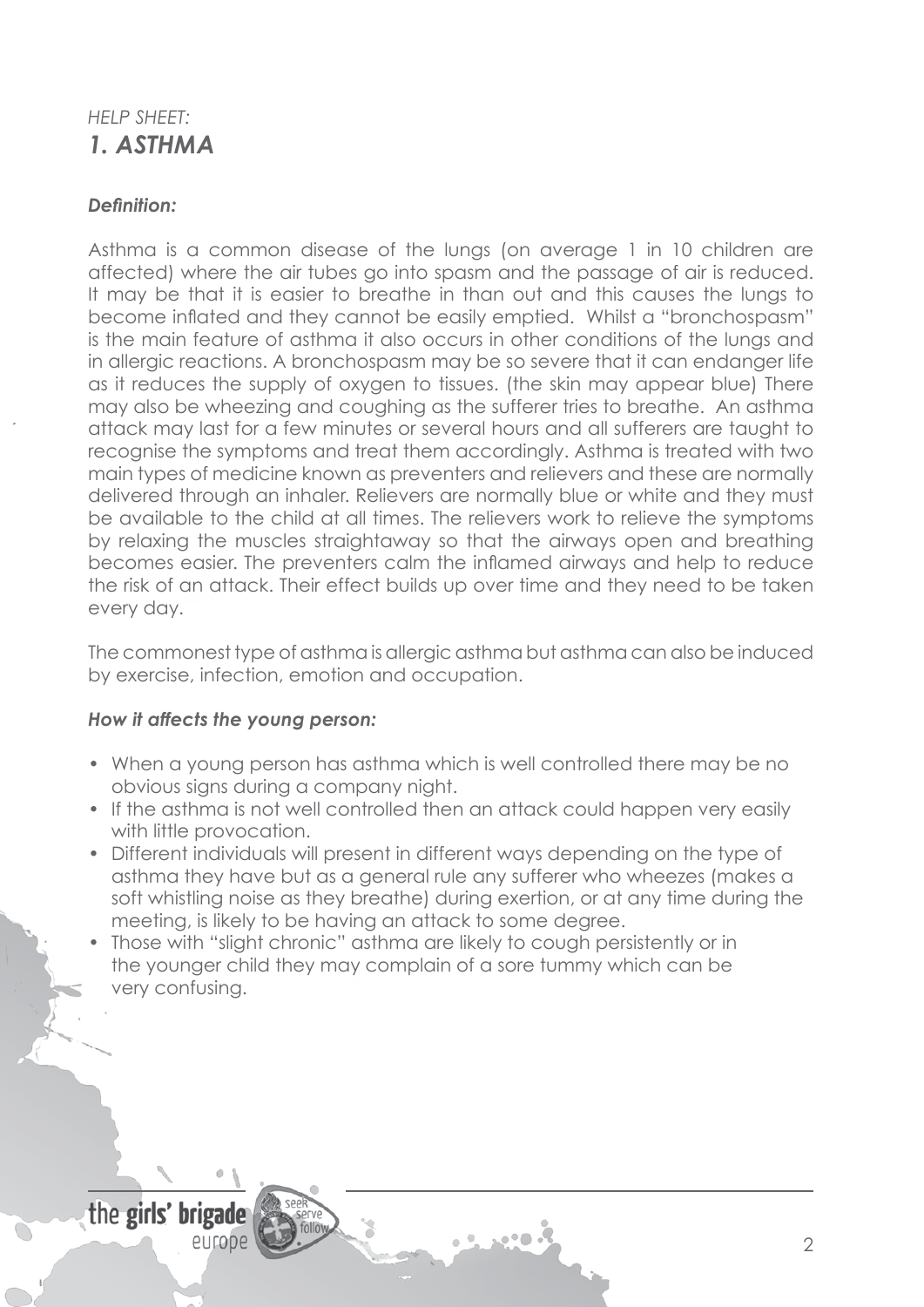# *HELP SHEET: 1. ASTHMA*

### *Definition:*

Asthma is a common disease of the lungs (on average 1 in 10 children are affected) where the air tubes go into spasm and the passage of air is reduced. It may be that it is easier to breathe in than out and this causes the lungs to become inflated and they cannot be easily emptied. Whilst a "bronchospasm" is the main feature of asthma it also occurs in other conditions of the lungs and in allergic reactions. A bronchospasm may be so severe that it can endanger life as it reduces the supply of oxygen to tissues. (the skin may appear blue) There may also be wheezing and coughing as the sufferer tries to breathe. An asthma attack may last for a few minutes or several hours and all sufferers are taught to recognise the symptoms and treat them accordingly. Asthma is treated with two main types of medicine known as preventers and relievers and these are normally delivered through an inhaler. Relievers are normally blue or white and they must be available to the child at all times. The relievers work to relieve the symptoms by relaxing the muscles straightaway so that the airways open and breathing becomes easier. The preventers calm the inflamed airways and help to reduce the risk of an attack. Their effect builds up over time and they need to be taken every day.

The commonest type of asthma is allergic asthma but asthma can also be induced by exercise, infection, emotion and occupation.

#### *How it affects the young person:*

- When a young person has asthma which is well controlled there may be no obvious signs during a company night.
- If the asthma is not well controlled then an attack could happen very easily with little provocation.
- Different individuals will present in different ways depending on the type of asthma they have but as a general rule any sufferer who wheezes (makes a soft whistling noise as they breathe) during exertion, or at any time during the meeting, is likely to be having an attack to some degree.

ان که می

Those with "slight chronic" asthma are likely to cough persistently or in the younger child they may complain of a sore tummy which can be very confusing.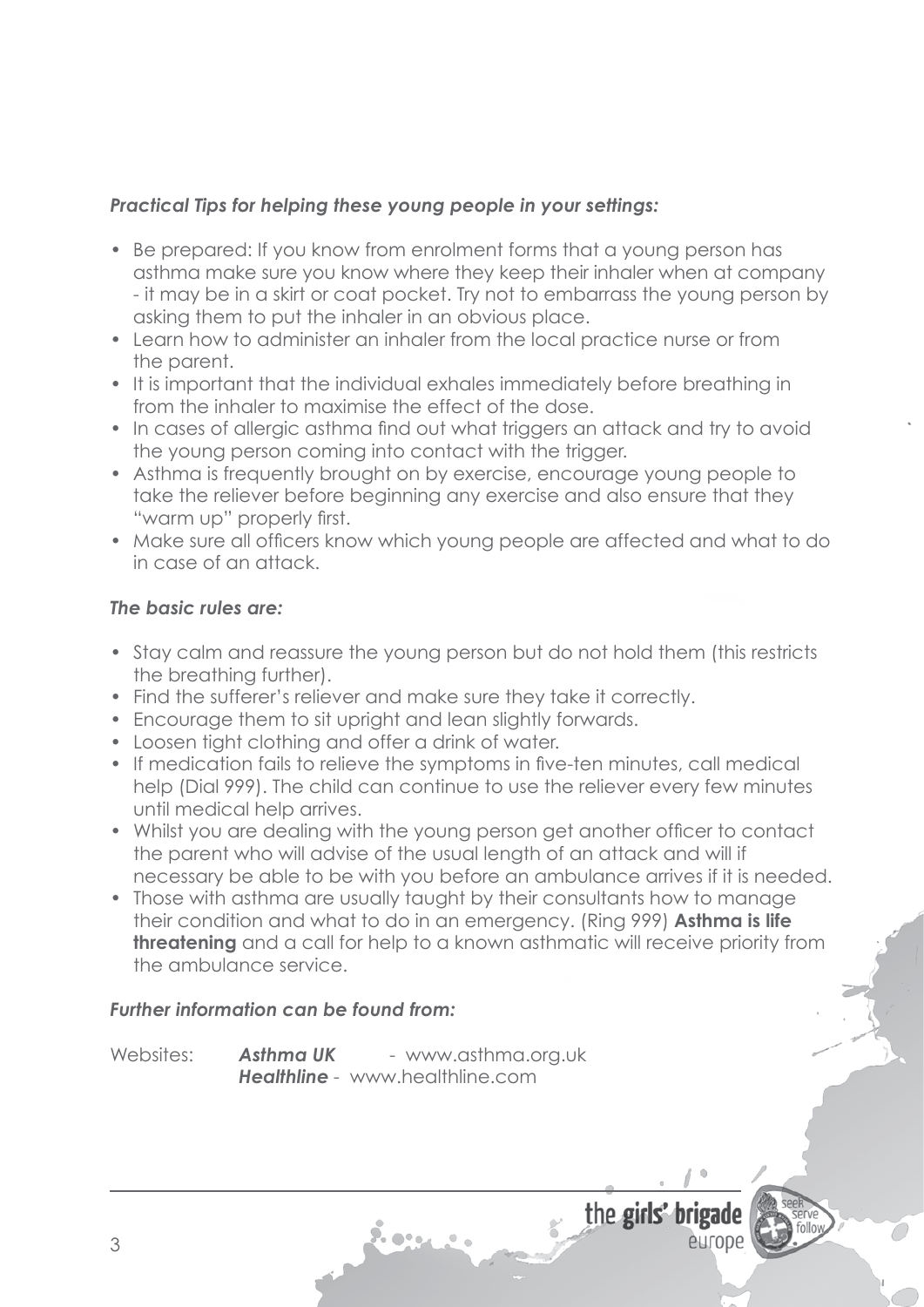- Be prepared: If you know from enrolment forms that a young person has asthma make sure you know where they keep their inhaler when at company - it may be in a skirt or coat pocket. Try not to embarrass the young person by asking them to put the inhaler in an obvious place.
- Learn how to administer an inhaler from the local practice nurse or from the parent.
- It is important that the individual exhales immediately before breathing in from the inhaler to maximise the effect of the dose.
- In cases of allergic asthma find out what triggers an attack and try to avoid the young person coming into contact with the trigger.
- Asthma is frequently brought on by exercise, encourage young people to take the reliever before beginning any exercise and also ensure that they "warm up" properly first.
- Make sure all officers know which young people are affected and what to do in case of an attack.

### *The basic rules are:*

- Stay calm and reassure the young person but do not hold them (this restricts the breathing further).
- Find the sufferer's reliever and make sure they take it correctly.
- Encourage them to sit upright and lean slightly forwards.
- Loosen tight clothing and offer a drink of water.
- If medication fails to relieve the symptoms in five-ten minutes, call medical help (Dial 999). The child can continue to use the reliever every few minutes until medical help arrives.
- Whilst you are dealing with the young person get another officer to contact the parent who will advise of the usual length of an attack and will if necessary be able to be with you before an ambulance arrives if it is needed.
- Those with asthma are usually taught by their consultants how to manage their condition and what to do in an emergency. (Ring 999) **Asthma is life threatening** and a call for help to a known asthmatic will receive priority from the ambulance service.

### *Further information can be found from:*

Websites: **Asthma UK** - www.asthma.org.uk **Healthline** - www.healthline.com

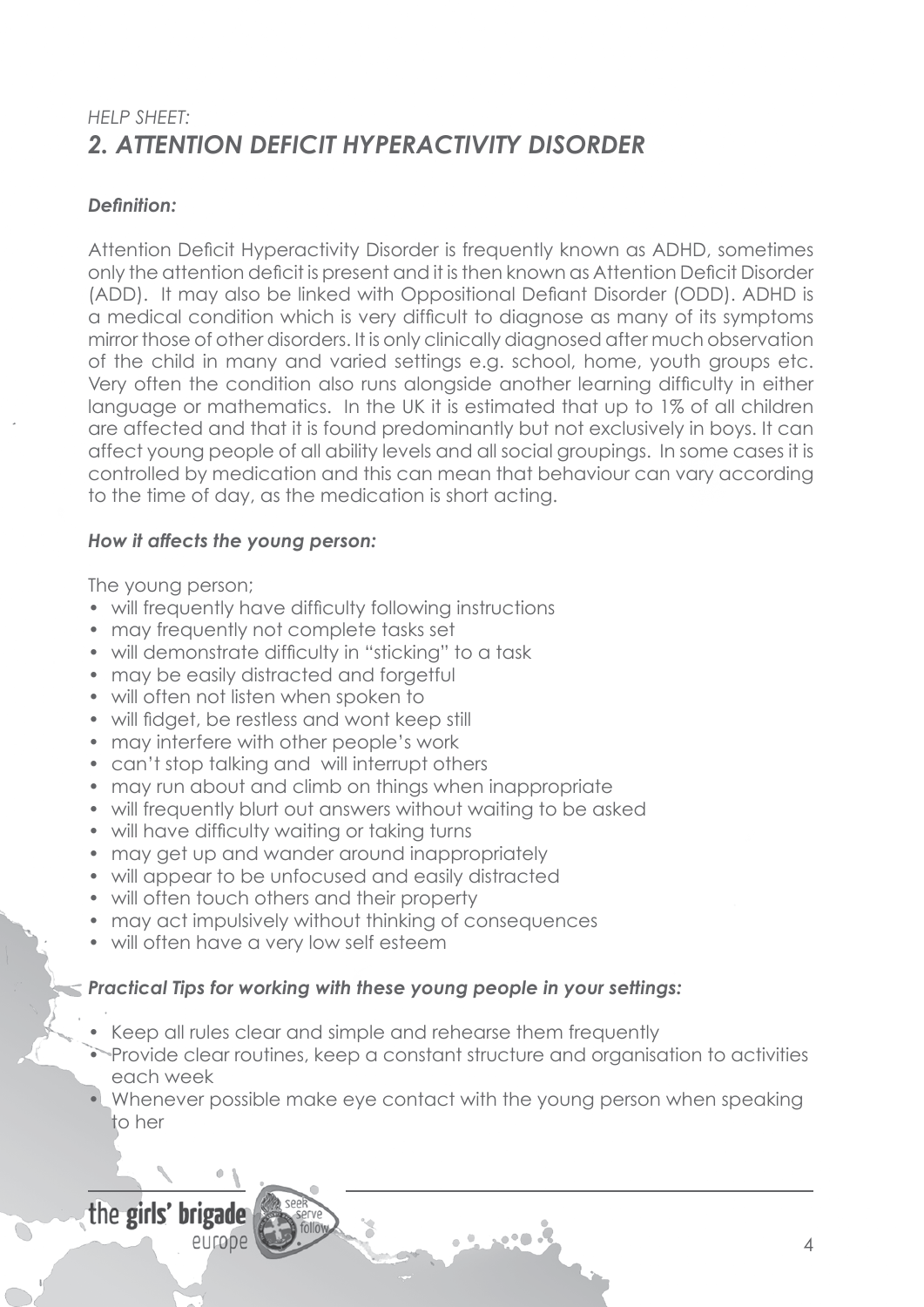# *HELP SHEET: 2. ATTENTION DEFICIT HYPERACTIVITY DISORDER*

### *Definition:*

Attention Deficit Hyperactivity Disorder is frequently known as ADHD, sometimes only the attention deficit is present and it isthen known as Attention Deficit Disorder (ADD). It may also be linked with Oppositional Defiant Disorder (ODD). ADHD is a medical condition which is very difficult to diagnose as many of its symptoms mirror those of other disorders. It is only clinically diagnosed after much observation of the child in many and varied settings e.g. school, home, youth groups etc. Very often the condition also runs alongside another learning difficulty in either language or mathematics. In the UK it is estimated that up to 1% of all children are affected and that it is found predominantly but not exclusively in boys. It can affect young people of all ability levels and all social groupings. In some cases it is controlled by medication and this can mean that behaviour can vary according to the time of day, as the medication is short acting.

### *How it affects the young person:*

The young person;

- will frequently have difficulty following instructions
- may frequently not complete tasks set
- will demonstrate difficulty in "sticking" to a task
- may be easily distracted and forgetful
- will often not listen when spoken to
- will fidget, be restless and wont keep still
- may interfere with other people's work
- can't stop talking and will interrupt others
- may run about and climb on things when inappropriate
- will frequently blurt out answers without waiting to be asked
- will have difficulty waiting or taking turns
- may get up and wander around inappropriately
- will appear to be unfocused and easily distracted
- will often touch others and their property
- may act impulsively without thinking of consequences
- will often have a very low self esteem

## *Practical Tips for working with these young people in your settings:*

- Keep all rules clear and simple and rehearse them frequently
- Provide clear routines, keep a constant structure and organisation to activities each week
- Whenever possible make eye contact with the young person when speaking to her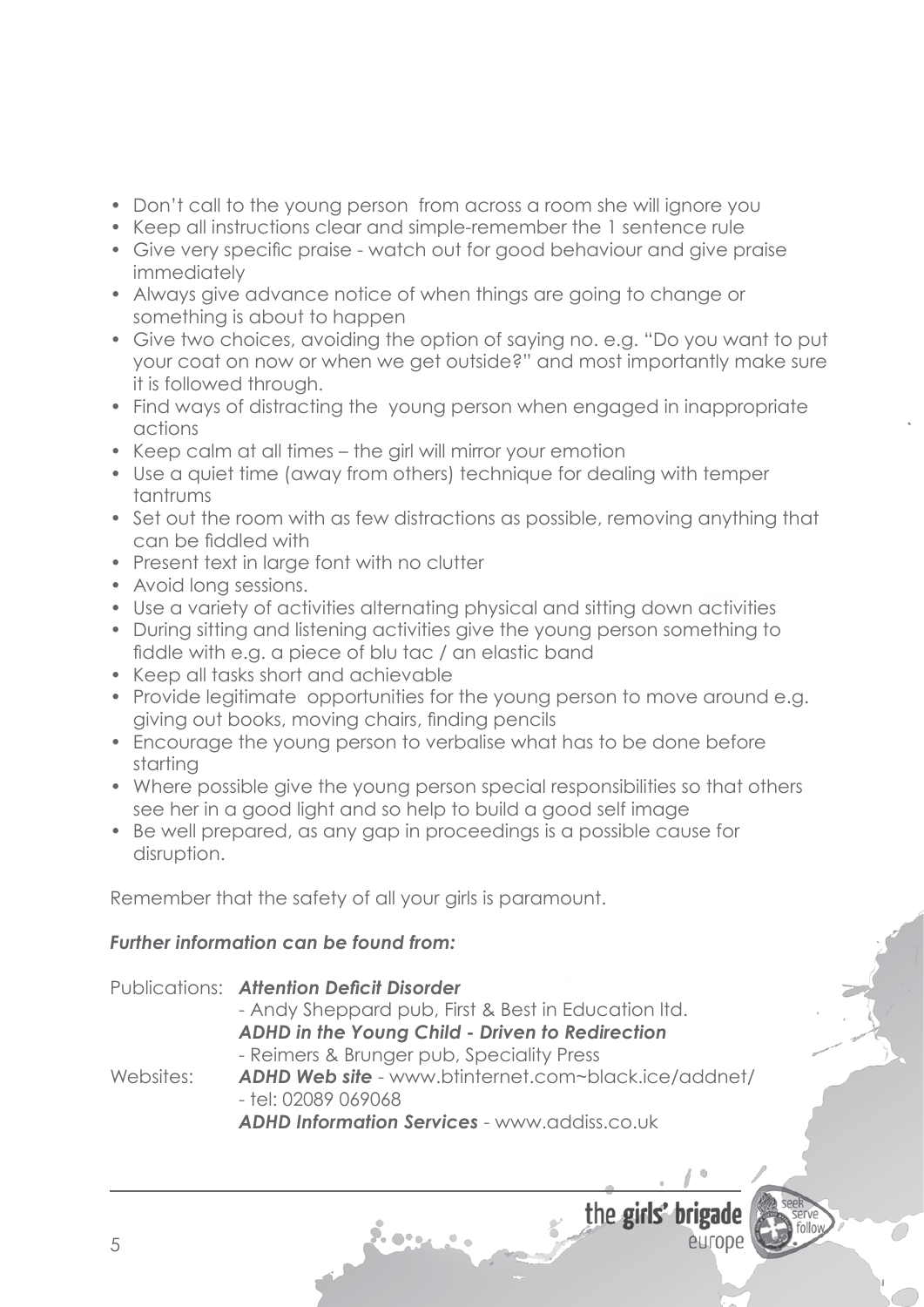- Don't call to the young person from across a room she will ignore you
- Keep all instructions clear and simple-remember the 1 sentence rule
- Give very specific praise watch out for good behaviour and give praise immediately
- Always give advance notice of when things are going to change or something is about to happen
- Give two choices, avoiding the option of saving no. e.g. "Do you want to put your coat on now or when we get outside?" and most importantly make sure it is followed through.
- Find ways of distracting the young person when engaged in inappropriate actions
- Keep calm at all times the girl will mirror your emotion
- Use a quiet time (away from others) technique for dealing with temper tantrums
- Set out the room with as few distractions as possible, removing anything that can be fiddled with
- Present text in large font with no clutter
- Avoid long sessions.
- Use a variety of activities alternating physical and sitting down activities
- During sitting and listening activities give the young person something to fiddle with e.g. a piece of blu tac / an elastic band
- Keep all tasks short and achievable
- Provide legitimate opportunities for the young person to move around e.g. giving out books, moving chairs, finding pencils
- Encourage the young person to verbalise what has to be done before starting
- Where possible give the young person special responsibilities so that others see her in a good light and so help to build a good self image
- Be well prepared, as any gap in proceedings is a possible cause for disruption.

Remember that the safety of all your girls is paramount.

## *Further information can be found from:*

|           | <b>Publications: Attention Deficit Disorder</b>                               |
|-----------|-------------------------------------------------------------------------------|
|           | - Andy Sheppard pub, First & Best in Education Itd.                           |
|           | ADHD in the Young Child - Driven to Redirection                               |
|           | - Reimers & Brunger pub, Speciality Press                                     |
| Websites: | ADHD Web site - www.btinternet.com~black.ice/addnet/<br>$-$ tel: 02089 069068 |
|           | <b>ADHD Information Services - www.addiss.co.uk</b>                           |
|           |                                                                               |

9. o•.

the girls' brigade

entope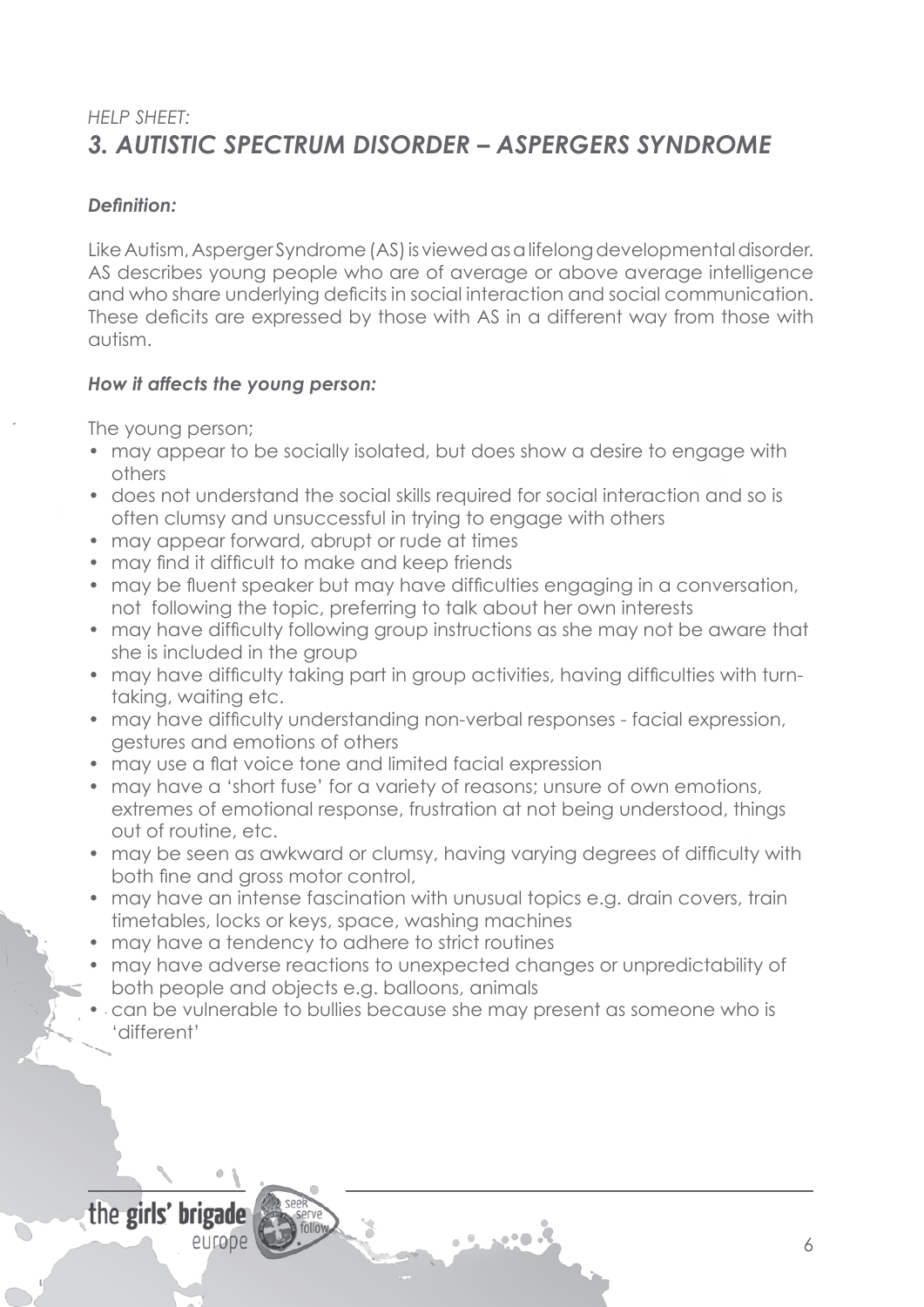# *HELP SHEET: 3. AUTISTIC SPECTRUM DISORDER – ASPERGERS SYNDROME*

### *Definition:*

Like Autism, Asperger Syndrome (AS) is viewed as a lifelong developmental disorder. AS describes young people who are of average or above average intelligence and who share underlying deficits in social interaction and social communication. These deficits are expressed by those with AS in a different way from those with autism.

### *How it affects the young person:*

The young person;

- may appear to be socially isolated, but does show a desire to engage with others
- • does not understand the social skills required for social interaction and so is often clumsy and unsuccessful in trying to engage with others
- may appear forward, abrupt or rude at times
- may find it difficult to make and keep friends
- may be fluent speaker but may have difficulties engaging in a conversation, not following the topic, preferring to talk about her own interests
- may have difficulty following group instructions as she may not be aware that she is included in the group
- may have difficulty taking part in group activities, having difficulties with turn- taking, waiting etc.
- may have difficulty understanding non-verbal responses facial expression, gestures and emotions of others
- may use a flat voice tone and limited facial expression
- may have a 'short fuse' for a variety of reasons; unsure of own emotions, extremes of emotional response, frustration at not being understood, things out of routine, etc.
- may be seen as awkward or clumsy, having varying degrees of difficulty with both fine and gross motor control,
- may have an intense fascination with unusual topics e.g. drain covers, train timetables, locks or keys, space, washing machines
- may have a tendency to adhere to strict routines
- may have adverse reactions to unexpected changes or unpredictability of both people and objects e.g. balloons, animals
- can be vulnerable to bullies because she may present as someone who is 'different'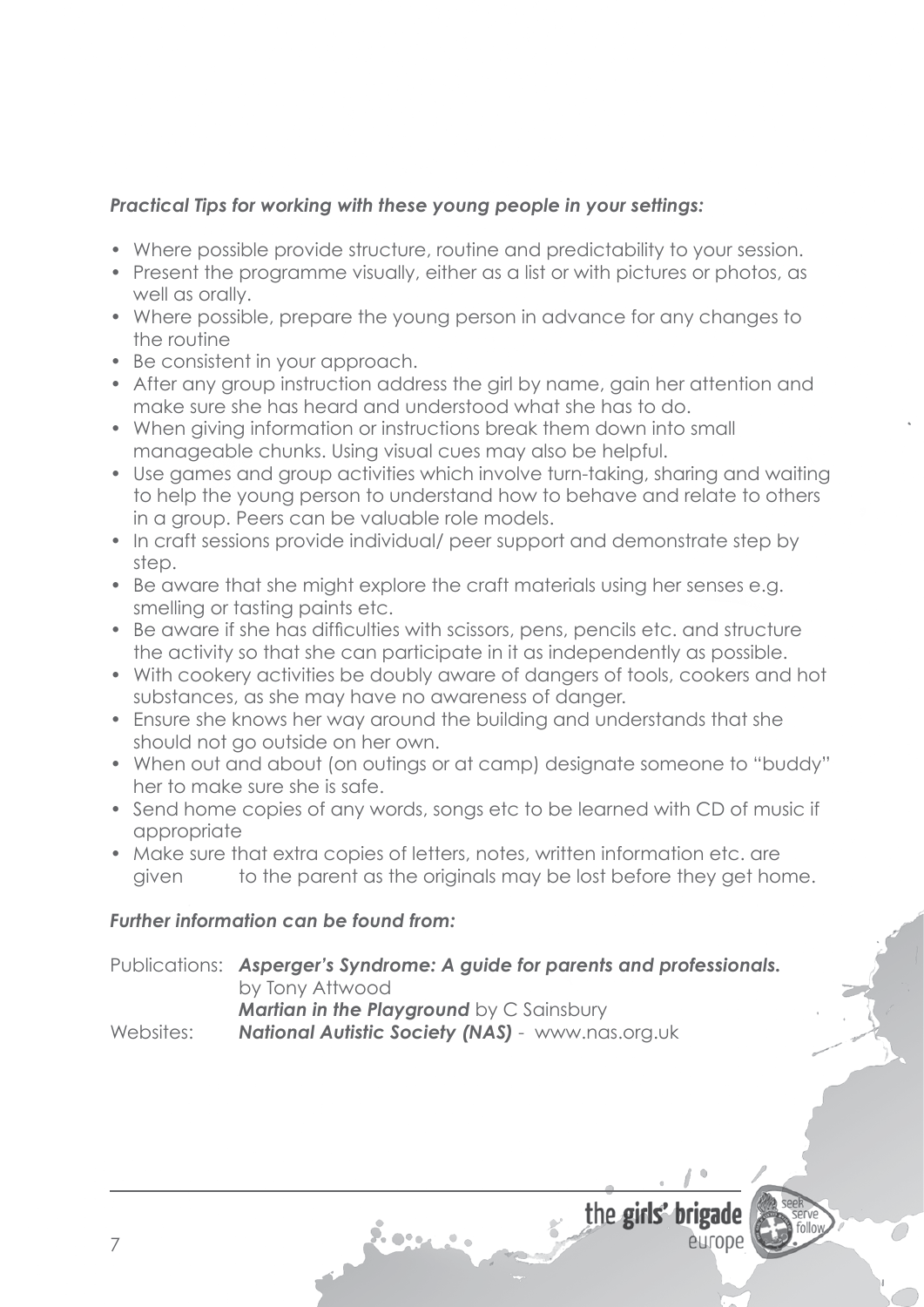- Where possible provide structure, routine and predictability to your session.
- Present the programme visually, either as a list or with pictures or photos, as well as orally.
- Where possible, prepare the young person in advance for any changes to the routine
- Be consistent in your approach.
- After any group instruction address the girl by name, gain her attention and make sure she has heard and understood what she has to do.
- When giving information or instructions break them down into small manageable chunks. Using visual cues may also be helpful.
- Use games and group activities which involve turn-taking, sharing and waiting to help the young person to understand how to behave and relate to others in a group. Peers can be valuable role models.
- In craft sessions provide individual/ peer support and demonstrate step by step.
- Be aware that she might explore the craft materials using her senses e.g. smelling or tasting paints etc.
- Be aware if she has difficulties with scissors, pens, pencils etc. and structure the activity so that she can participate in it as independently as possible.
- With cookery activities be doubly aware of dangers of tools, cookers and hot substances, as she may have no awareness of danger.
- Ensure she knows her way around the building and understands that she should not go outside on her own.
- When out and about (on outings or at camp) designate someone to "buddy" her to make sure she is safe.
- Send home copies of any words, songs etc to be learned with CD of music if appropriate
- Make sure that extra copies of letters, notes, written information etc. are given to the parent as the originals may be lost before they get home.

### *Further information can be found from:*

Publications: *Asperger's Syndrome: A guide for parents and professionals.* by Tony Attwood *Martian in the Playground by C Sainsbury* 

Websites: **National Autistic Society (NAS)** - www.nas.org.uk

9. o•.

the girls' br

europe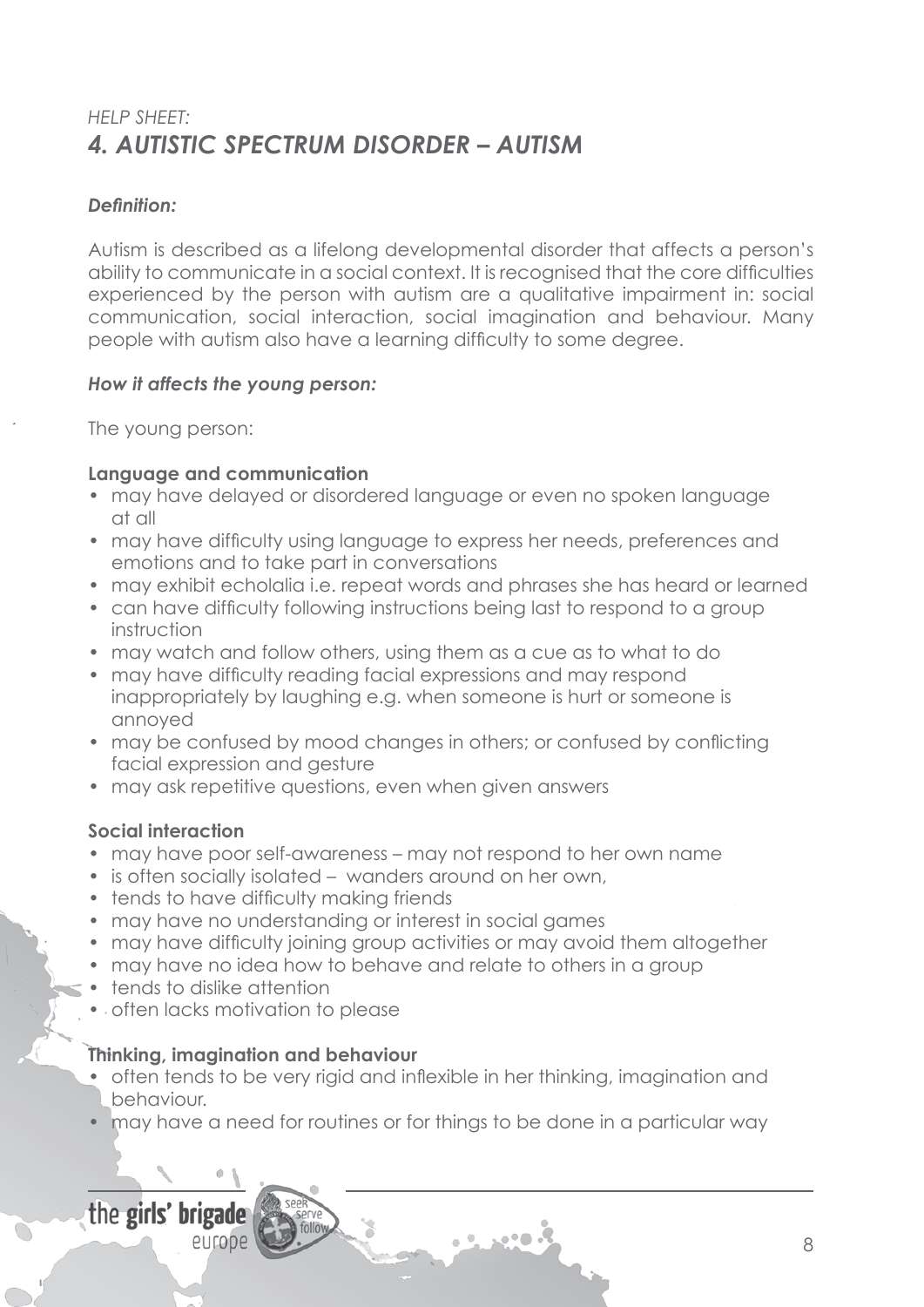# *HELP SHEET: 4. AUTISTIC SPECTRUM DISORDER – AUTISM*

### *Definition:*

Autism is described as a lifelong developmental disorder that affects a person's ability to communicate in a social context. It is recognised that the core difficulties experienced by the person with autism are a qualitative impairment in: social communication, social interaction, social imagination and behaviour. Many people with autism also have a learning difficulty to some degree.

### *How it affects the young person:*

The young person:

### **Language and communication**

- may have delayed or disordered language or even no spoken language at all
- may have difficulty using language to express her needs, preferences and emotions and to take part in conversations
- may exhibit echolalia i.e. repeat words and phrases she has heard or learned
- can have difficulty following instructions being last to respond to a group instruction
- may watch and follow others, using them as a cue as to what to do
- may have difficulty reading facial expressions and may respond inappropriately by laughing e.g. when someone is hurt or someone is annoyed
- may be confused by mood changes in others; or confused by conflicting facial expression and gesture
- may ask repetitive questions, even when given answers

### **Social interaction**

- may have poor self-awareness may not respond to her own name
- is often socially isolated wanders around on her own,
- tends to have difficulty making friends
- may have no understanding or interest in social games
- may have difficulty joining group activities or may avoid them altogether
- may have no idea how to behave and relate to others in a group
- tends to dislike attention
- often lacks motivation to please

### **Thinking, imagination and behaviour**

- often tends to be very rigid and inflexible in her thinking, imagination and behaviour.
- may have a need for routines or for things to be done in a particular way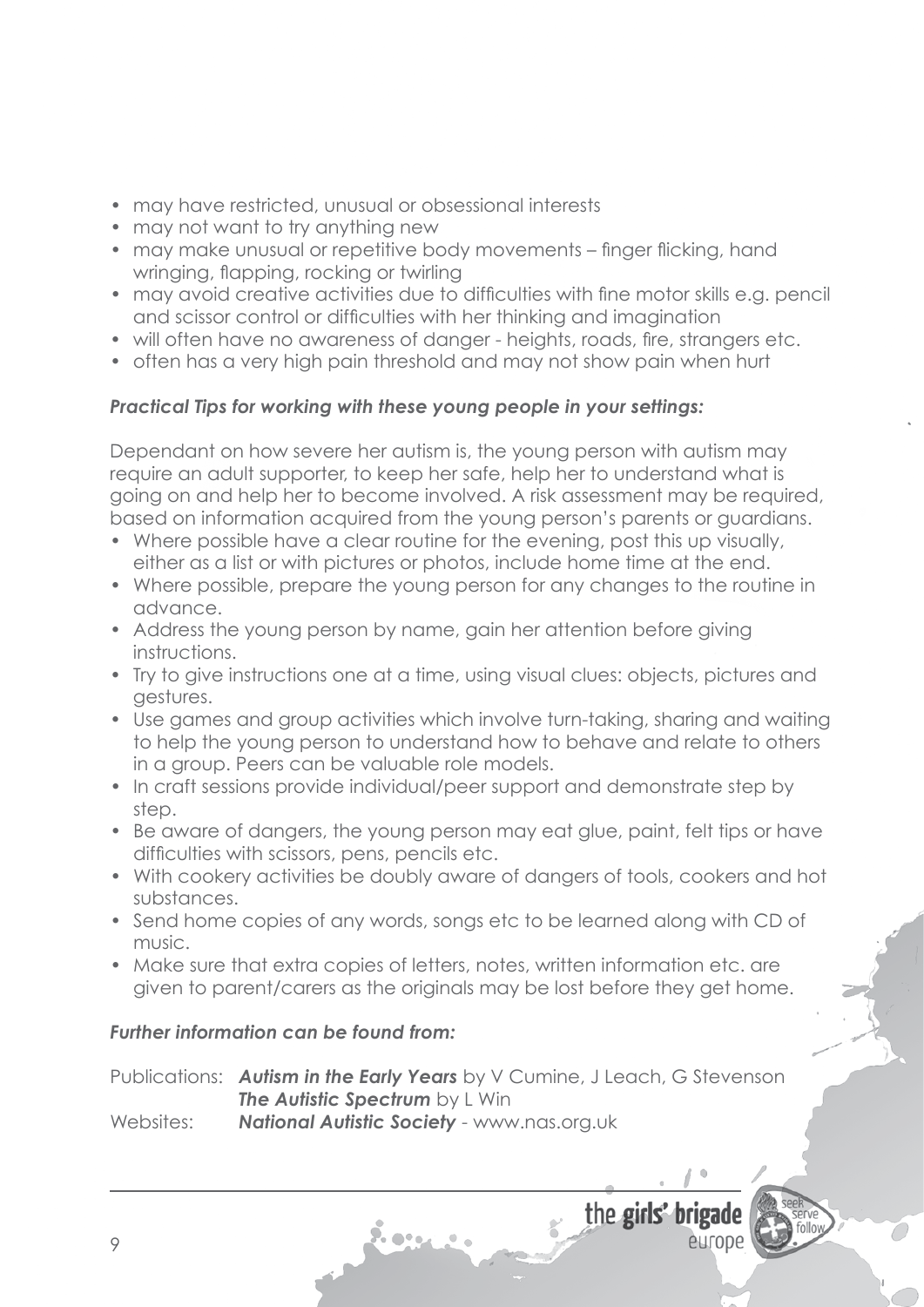- may have restricted, unusual or obsessional interests
- may not want to try anything new
- may make unusual or repetitive body movements finger flicking, hand wringing, flapping, rocking or twirling
- may avoid creative activities due to difficulties with fine motor skills e.g. pencil and scissor control or difficulties with her thinking and imagination
- will often have no awareness of danger heights, roads, fire, strangers etc.
- often has a very high pain threshold and may not show pain when hurt

Dependant on how severe her autism is, the young person with autism may require an adult supporter, to keep her safe, help her to understand what is going on and help her to become involved. A risk assessment may be required, based on information acquired from the young person's parents or guardians.

- Where possible have a clear routine for the evening, post this up visually, either as a list or with pictures or photos, include home time at the end.
- Where possible, prepare the young person for any changes to the routine in advance.
- Address the young person by name, gain her attention before giving instructions.
- Try to give instructions one at a time, using visual clues: objects, pictures and gestures.
- Use games and group activities which involve turn-taking, sharing and waiting to help the young person to understand how to behave and relate to others in a group. Peers can be valuable role models.
- In craft sessions provide individual/peer support and demonstrate step by step.
- Be aware of dangers, the young person may eat glue, paint, felt tips or have difficulties with scissors, pens, pencils etc.
- With cookery activities be doubly aware of dangers of tools, cookers and hot substances.
- Send home copies of any words, songs etc to be learned along with CD of music.
- Make sure that extra copies of letters, notes, written information etc. are given to parent/carers as the originals may be lost before they get home.

## *Further information can be found from:*

Publications: **Autism in the Early Years** by V Cumine, J Leach, G Stevenson *The Autistic Spectrum by L Win* Websites: *National Autistic Society* - www.nas.org.uk

7. e .

the girls' br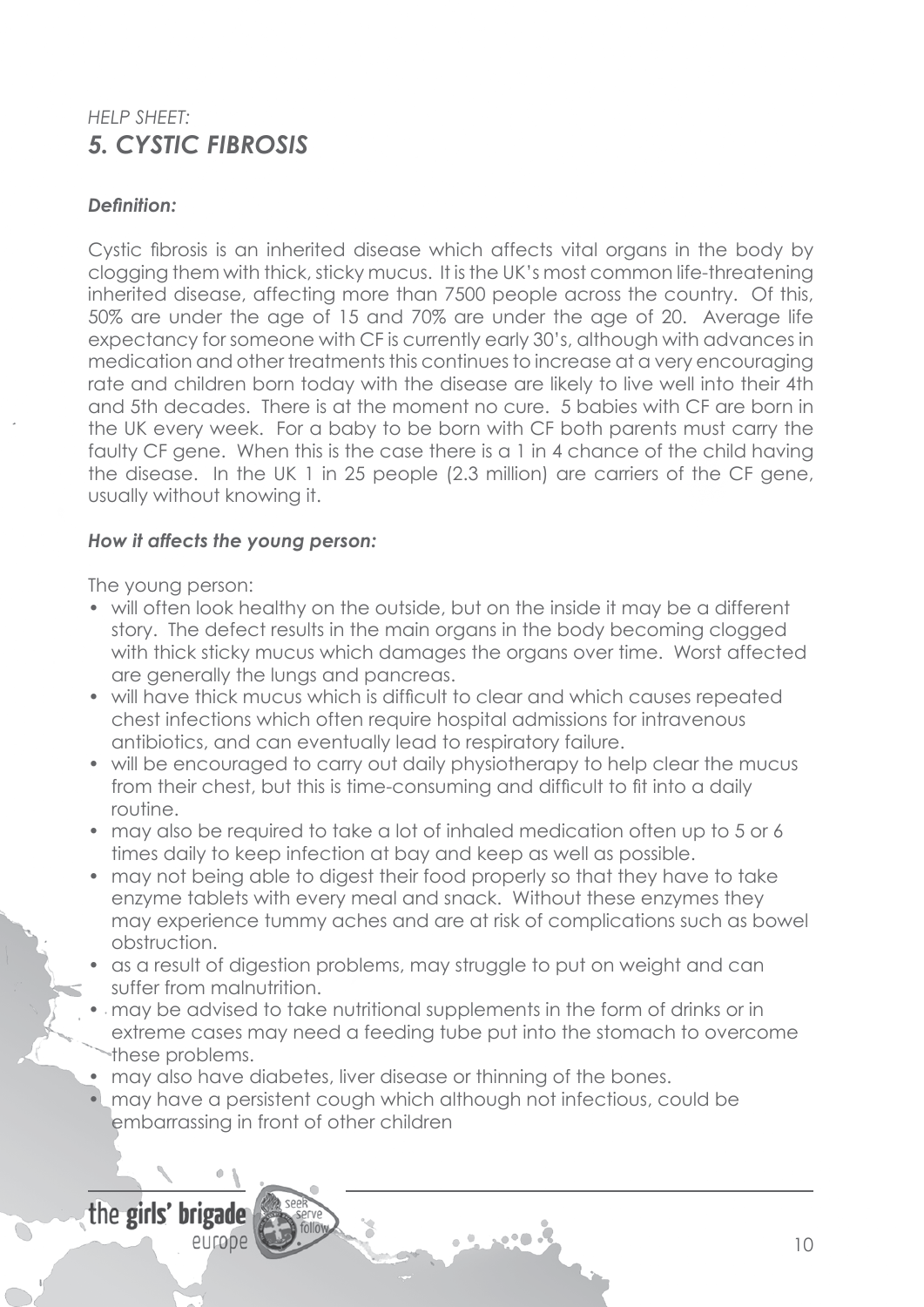# *HELP SHEET: 5. CYSTIC FIBROSIS*

### *Definition:*

Cystic fibrosis is an inherited disease which affects vital organs in the body by clogging them with thick, sticky mucus. It is the UK's most common life-threatening inherited disease, affecting more than 7500 people across the country. Of this, 50% are under the age of 15 and 70% are under the age of 20. Average life expectancy for someone with CF is currently early 30's, although with advances in medication and other treatments this continues to increase at a very encouraging rate and children born today with the disease are likely to live well into their 4th and 5th decades. There is at the moment no cure. 5 babies with CF are born in the UK every week. For a baby to be born with CF both parents must carry the faulty CF gene. When this is the case there is a 1 in 4 chance of the child having the disease. In the UK 1 in 25 people (2.3 million) are carriers of the CF gene, usually without knowing it.

### *How it affects the young person:*

The young person:

- will often look healthy on the outside, but on the inside it may be a different story. The defect results in the main organs in the body becoming clogged with thick sticky mucus which damages the organs over time. Worst affected are generally the lungs and pancreas.
- will have thick mucus which is difficult to clear and which causes repeated chest infections which often require hospital admissions for intravenous antibiotics, and can eventually lead to respiratory failure.
- will be encouraged to carry out daily physiotherapy to help clear the mucus from their chest, but this is time-consuming and difficult to fit into a daily routine.
- may also be required to take a lot of inhaled medication often up to 5 or 6 times daily to keep infection at bay and keep as well as possible.
- may not being able to digest their food properly so that they have to take enzyme tablets with every meal and snack. Without these enzymes they may experience tummy aches and are at risk of complications such as bowel obstruction.
- as a result of digestion problems, may struggle to put on weight and can suffer from malnutrition.
- may be advised to take nutritional supplements in the form of drinks or in extreme cases may need a feeding tube put into the stomach to overcome these problems.
- may also have diabetes, liver disease or thinning of the bones.
- • may have a persistent cough which although not infectious, could be embarrassing in front of other children

the girls' brigade

europe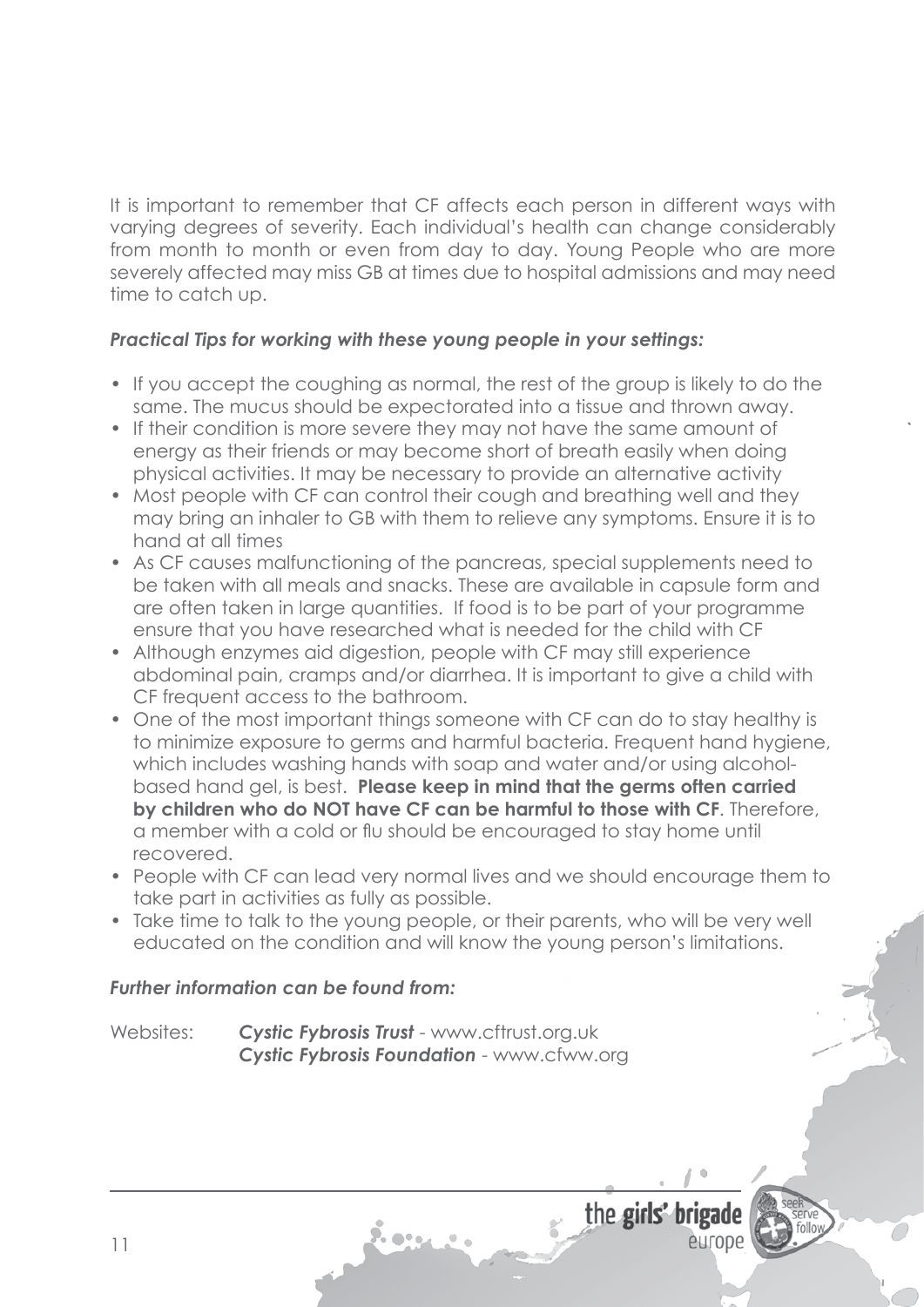It is important to remember that CF affects each person in different ways with varying degrees of severity. Each individual's health can change considerably from month to month or even from day to day. Young People who are more severely affected may miss GB at times due to hospital admissions and may need time to catch up.

#### *Practical Tips for working with these young people in your settings:*

- If you accept the coughing as normal, the rest of the group is likely to do the same. The mucus should be expectorated into a tissue and thrown away.
- If their condition is more severe they may not have the same amount of energy as their friends or may become short of breath easily when doing physical activities. It may be necessary to provide an alternative activity
- Most people with CF can control their cough and breathing well and they may bring an inhaler to GB with them to relieve any symptoms. Ensure it is to hand at all times
- As CF causes malfunctioning of the pancreas, special supplements need to be taken with all meals and snacks. These are available in capsule form and are often taken in large quantities. If food is to be part of your programme ensure that you have researched what is needed for the child with CF
- Although enzymes aid digestion, people with CF may still experience abdominal pain, cramps and/or diarrhea. It is important to give a child with CF frequent access to the bathroom.
- One of the most important things someone with CF can do to stay healthy is to minimize exposure to germs and harmful bacteria. Frequent hand hygiene, which includes washing hands with soap and water and/or using alcohol- based hand gel, is best. **Please keep in mind that the germs often carried by children who do NOT have CF can be harmful to those with CF**. Therefore, a member with a cold or flu should be encouraged to stay home until recovered.
- People with CF can lead very normal lives and we should encourage them to take part in activities as fully as possible.
- Take time to talk to the young people, or their parents, who will be very well educated on the condition and will know the young person's limitations.

#### *Further information can be found from:*

Websites: **Cystic Fybrosis Trust** - www.cftrust.org.uk *Cystic Fybrosis Foundation* - www.cfww.org

7. e .

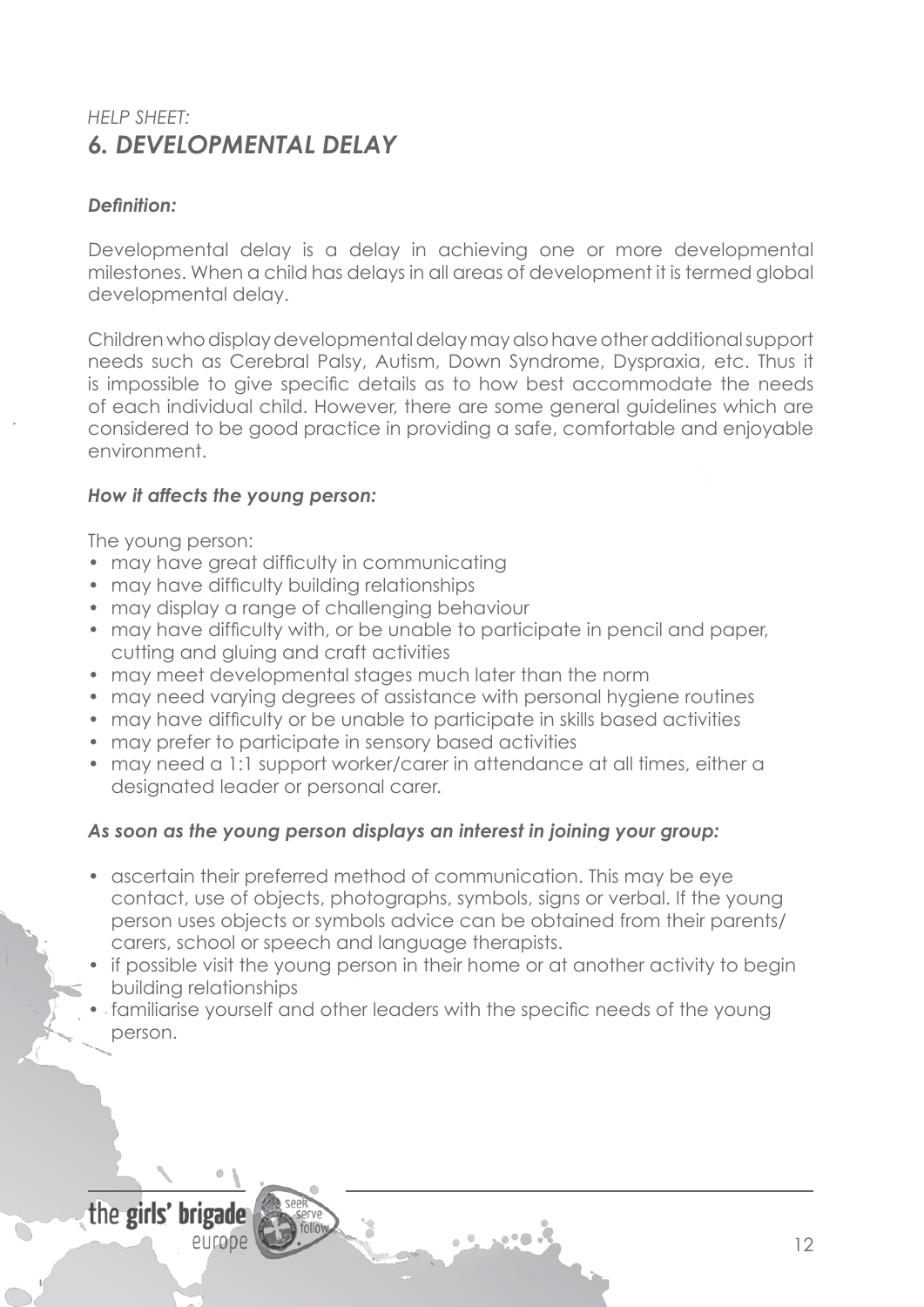# *HELP SHEET: 6. DEVELOPMENTAL DELAY*

### *Definition:*

Developmental delay is a delay in achieving one or more developmental milestones. When a child has delays in all areas of development it is termed global developmental delay.

Children whodisplaydevelopmentaldelaymayalsohaveotheradditionalsupport needs such as Cerebral Palsy, Autism, Down Syndrome, Dyspraxia, etc. Thus it is impossible to give specific details as to how best accommodate the needs of each individual child. However, there are some general guidelines which are considered to be good practice in providing a safe, comfortable and enjoyable environment.

#### *How it affects the young person:*

The young person:

- may have great difficulty in communicating
- may have difficulty building relationships
- may display a range of challenging behaviour
- may have difficulty with, or be unable to participate in pencil and paper, cutting and gluing and craft activities
- may meet developmental stages much later than the norm
- may need varying degrees of assistance with personal hygiene routines
- may have difficulty or be unable to participate in skills based activities
- may prefer to participate in sensory based activities
- may need a 1:1 support worker/carer in attendance at all times, either a designated leader or personal carer.

#### *As soon as the young person displays an interest in joining your group:*

- ascertain their preferred method of communication. This may be eye contact, use of objects, photographs, symbols, signs or verbal. If the young person uses objects or symbols advice can be obtained from their parents/ carers, school or speech and language therapists.
- if possible visit the young person in their home or at another activity to begin building relationships
- familiarise yourself and other leaders with the specific needs of the young person.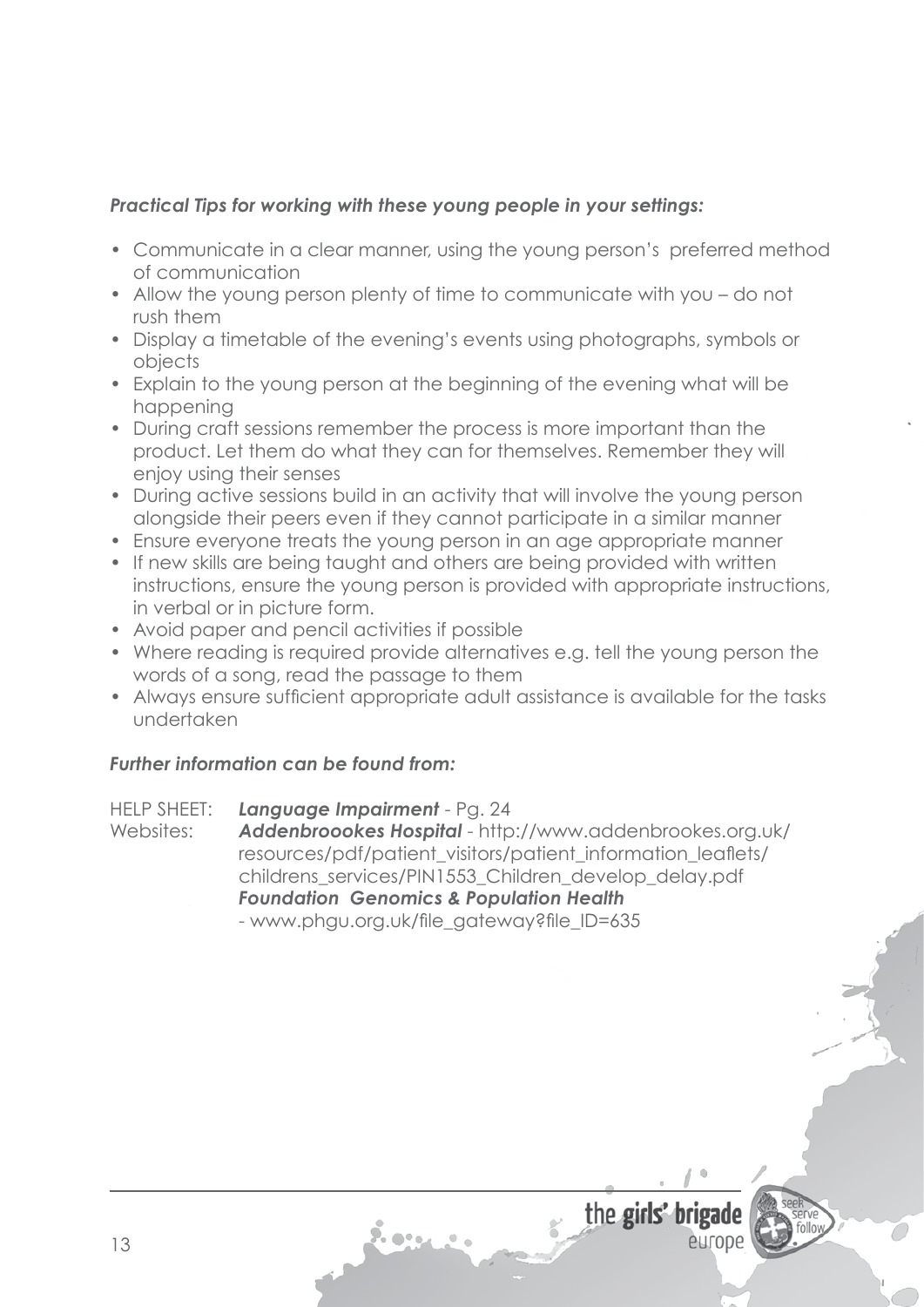- Communicate in a clear manner, using the young person's preferred method of communication
- Allow the young person plenty of time to communicate with you do not rush them
- Display a timetable of the evening's events using photographs, symbols or objects
- Explain to the young person at the beginning of the evening what will be happening
- During craft sessions remember the process is more important than the product. Let them do what they can for themselves. Remember they will enjoy using their senses
- During active sessions build in an activity that will involve the young person alongside their peers even if they cannot participate in a similar manner
- Ensure everyone treats the young person in an age appropriate manner
- If new skills are being taught and others are being provided with written instructions, ensure the young person is provided with appropriate instructions, in verbal or in picture form.
- Avoid paper and pencil activities if possible
- Where reading is required provide alternatives e.g. tell the young person the words of a song, read the passage to them
- Always ensure sufficient appropriate adult assistance is available for the tasks undertaken

### *Further information can be found from:*

HELP SHEET: *Language Impairment* - Pg. 24 Websites: *Addenbroookes Hospital* - http://www.addenbrookes.org.uk/ resources/pdf/patient\_visitors/patient\_information\_leaflets/ childrens\_services/PIN1553\_Children\_develop\_delay.pdf *Foundation Genomics & Population Health* - www.phgu.org.uk/file\_gateway?file\_ID=635

**See** 

the girls' brigade

entope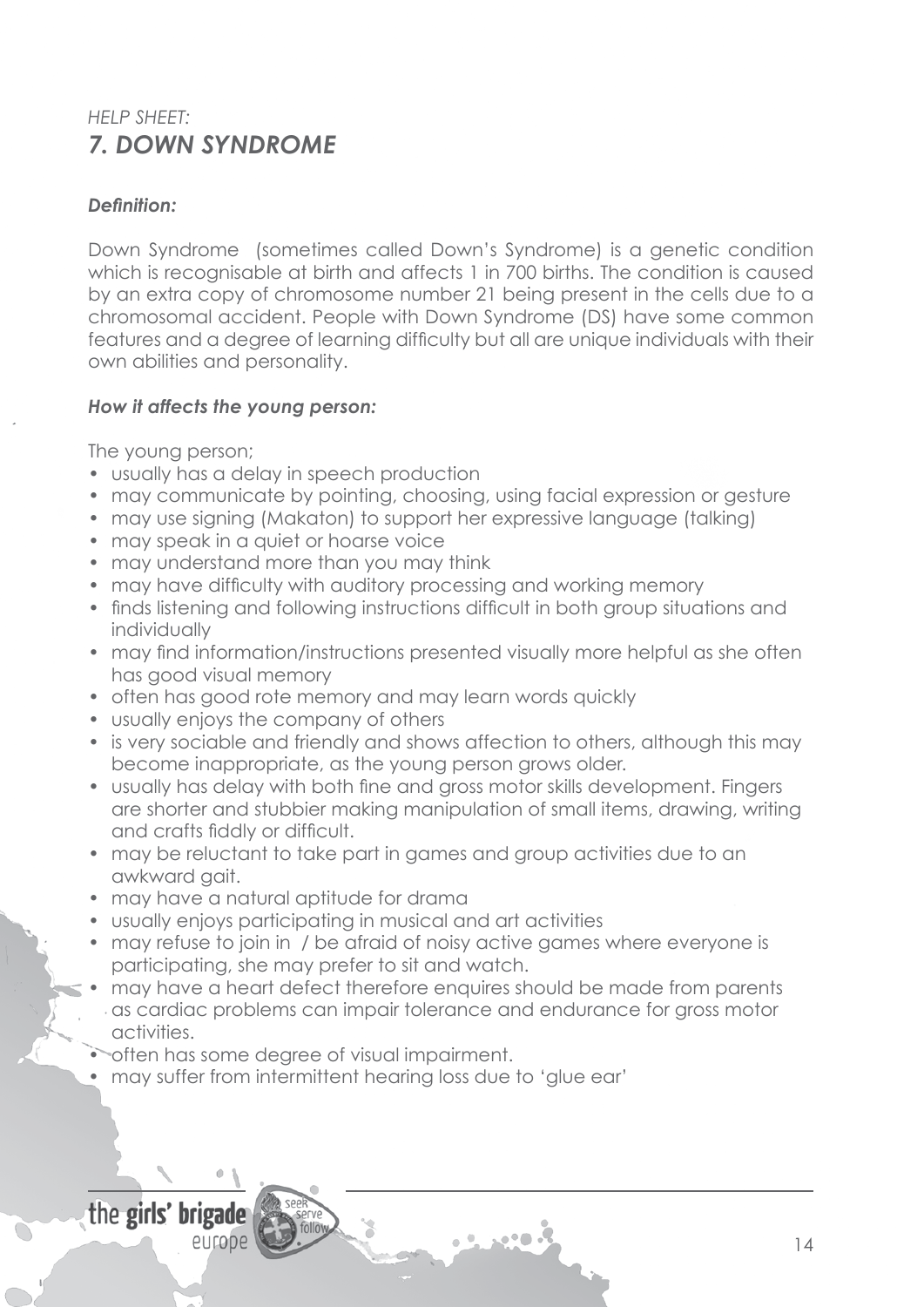# *HELP SHEET: 7. DOWN SYNDROME*

### *Definition:*

Down Syndrome (sometimes called Down's Syndrome) is a genetic condition which is recognisable at birth and affects 1 in 700 births. The condition is caused by an extra copy of chromosome number 21 being present in the cells due to a chromosomal accident. People with Down Syndrome (DS) have some common features and a degree of learning difficulty but all are unique individuals with their own abilities and personality.

### *How it affects the young person:*

The young person;

- usually has a delay in speech production
- may communicate by pointing, choosing, using facial expression or gesture
- may use signing (Makaton) to support her expressive language (talking)
- may speak in a quiet or hoarse voice
- may understand more than you may think
- may have difficulty with auditory processing and working memory
- finds listening and following instructions difficult in both group situations and individually
- may find information/instructions presented visually more helpful as she often has good visual memory
- often has good rote memory and may learn words quickly
- usually enjoys the company of others
- is very sociable and friendly and shows affection to others, although this may become inappropriate, as the young person grows older.
- usually has delay with both fine and gross motor skills development. Fingers are shorter and stubbier making manipulation of small items, drawing, writing and crafts fiddly or difficult.
- may be reluctant to take part in games and group activities due to an awkward gait.
- may have a natural aptitude for drama
- usually enjoys participating in musical and art activities
- may refuse to join in / be afraid of noisy active games where everyone is participating, she may prefer to sit and watch.
- may have a heart defect therefore enquires should be made from parents as cardiac problems can impair tolerance and endurance for gross motor activities.
- often has some degree of visual impairment.
- may suffer from intermittent hearing loss due to 'glue ear'

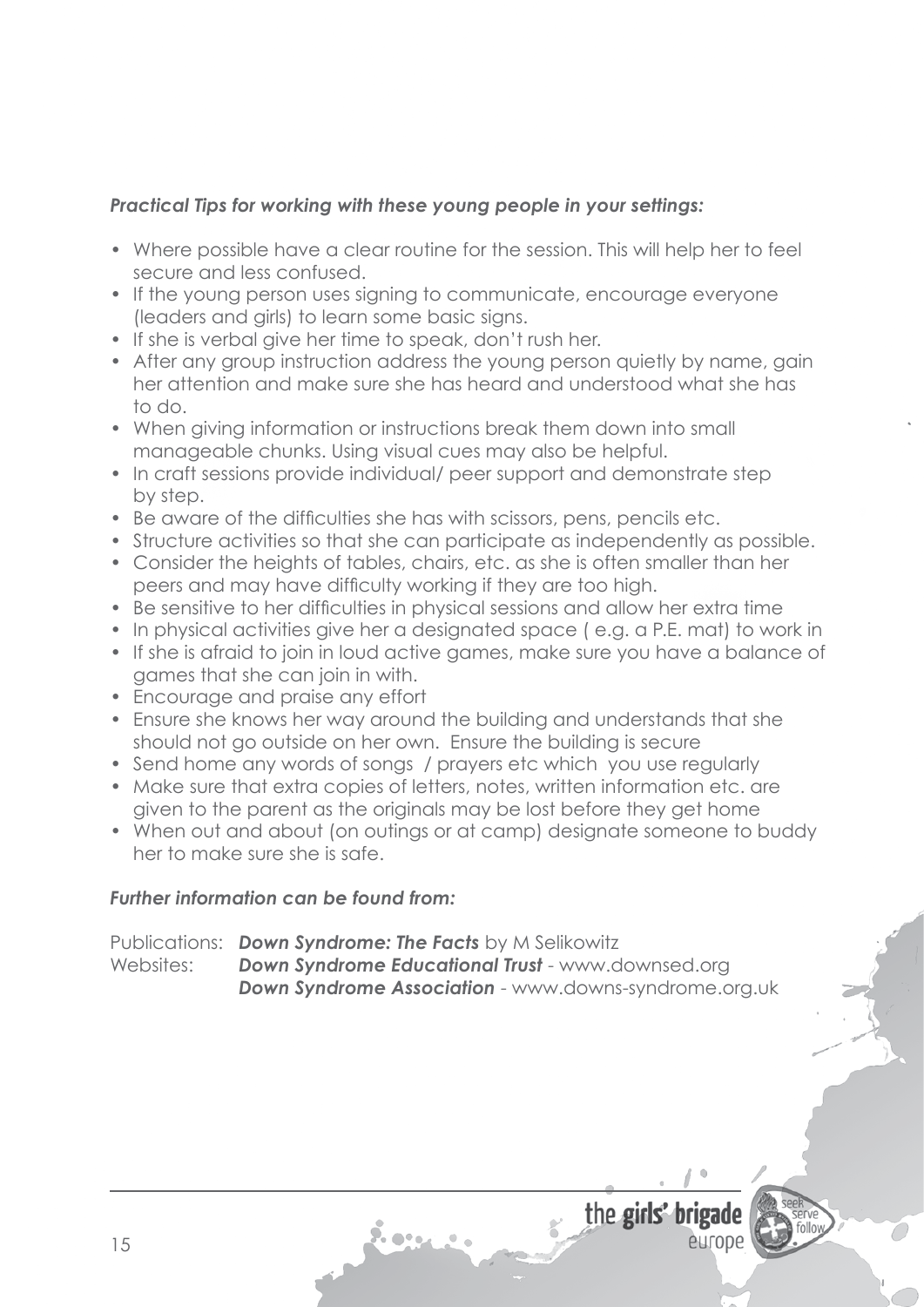- Where possible have a clear routine for the session. This will help her to feel secure and less confused.
- If the young person uses signing to communicate, encourage everyone (leaders and girls) to learn some basic signs.
- If she is verbal give her time to speak, don't rush her.
- After any group instruction address the young person quietly by name, gain her attention and make sure she has heard and understood what she has to do.
- When giving information or instructions break them down into small manageable chunks. Using visual cues may also be helpful.
- In craft sessions provide individual/ peer support and demonstrate step by step.
- Be aware of the difficulties she has with scissors, pens, pencils etc.
- Structure activities so that she can participate as independently as possible.
- Consider the heights of tables, chairs, etc. as she is often smaller than her peers and may have difficulty working if they are too high.
- Be sensitive to her difficulties in physical sessions and allow her extra time
- In physical activities give her a designated space (e.g. a P.E. mat) to work in
- If she is afraid to join in loud active games, make sure you have a balance of games that she can join in with.
- Encourage and praise any effort
- Ensure she knows her way around the building and understands that she should not go outside on her own. Ensure the building is secure
- Send home any words of songs / prayers etc which you use regularly
- Make sure that extra copies of letters, notes, written information etc. are given to the parent as the originals may be lost before they get home
- When out and about (on outings or at camp) designate someone to buddy her to make sure she is safe.

### *Further information can be found from:*

Publications: *Down Syndrome: The Facts* by M Selikowitz Websites: *Down Syndrome Educational Trust* - www.downsed.org **Down Syndrome Association** - www.downs-syndrome.org.uk

7. o•.



entope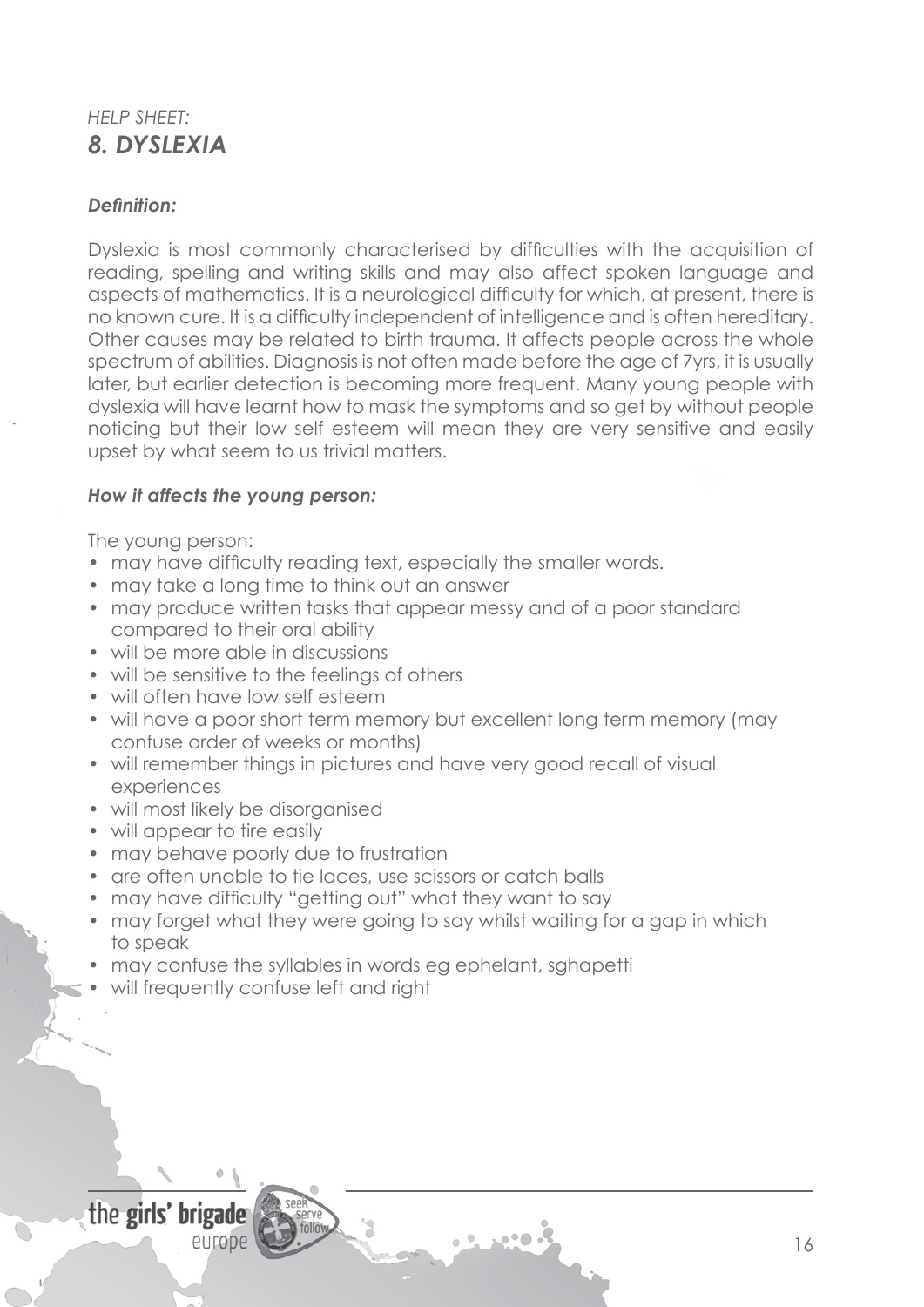# *HELP SHEET: 8. DYSLEXIA*

### *Definition:*

Dyslexia is most commonly characterised by difficulties with the acquisition of reading, spelling and writing skills and may also affect spoken language and aspects of mathematics. It is a neurological difficulty for which, at present, there is no known cure. It is a difficulty independent of intelligence and is often hereditary. Other causes may be related to birth trauma. It affects people across the whole spectrum of abilities. Diagnosis is not often made before the age of 7yrs, it is usually later, but earlier detection is becoming more frequent. Many young people with dyslexia will have learnt how to mask the symptoms and so get by without people noticing but their low self esteem will mean they are very sensitive and easily upset by what seem to us trivial matters.

#### *How it affects the young person:*

The young person:

- may have difficulty reading text, especially the smaller words.
- may take a long time to think out an answer
- may produce written tasks that appear messy and of a poor standard compared to their oral ability
- will be more able in discussions
- will be sensitive to the feelings of others
- will often have low self esteem
- will have a poor short term memory but excellent long term memory (may confuse order of weeks or months)
- will remember things in pictures and have very good recall of visual experiences
- will most likely be disorganised
- will appear to tire easily
- may behave poorly due to frustration
- are often unable to tie laces, use scissors or catch balls
- may have difficulty "getting out" what they want to say
- may forget what they were going to say whilst waiting for a gap in which to speak
- may confuse the syllables in words eg ephelant, sghapetti
- will frequently confuse left and right

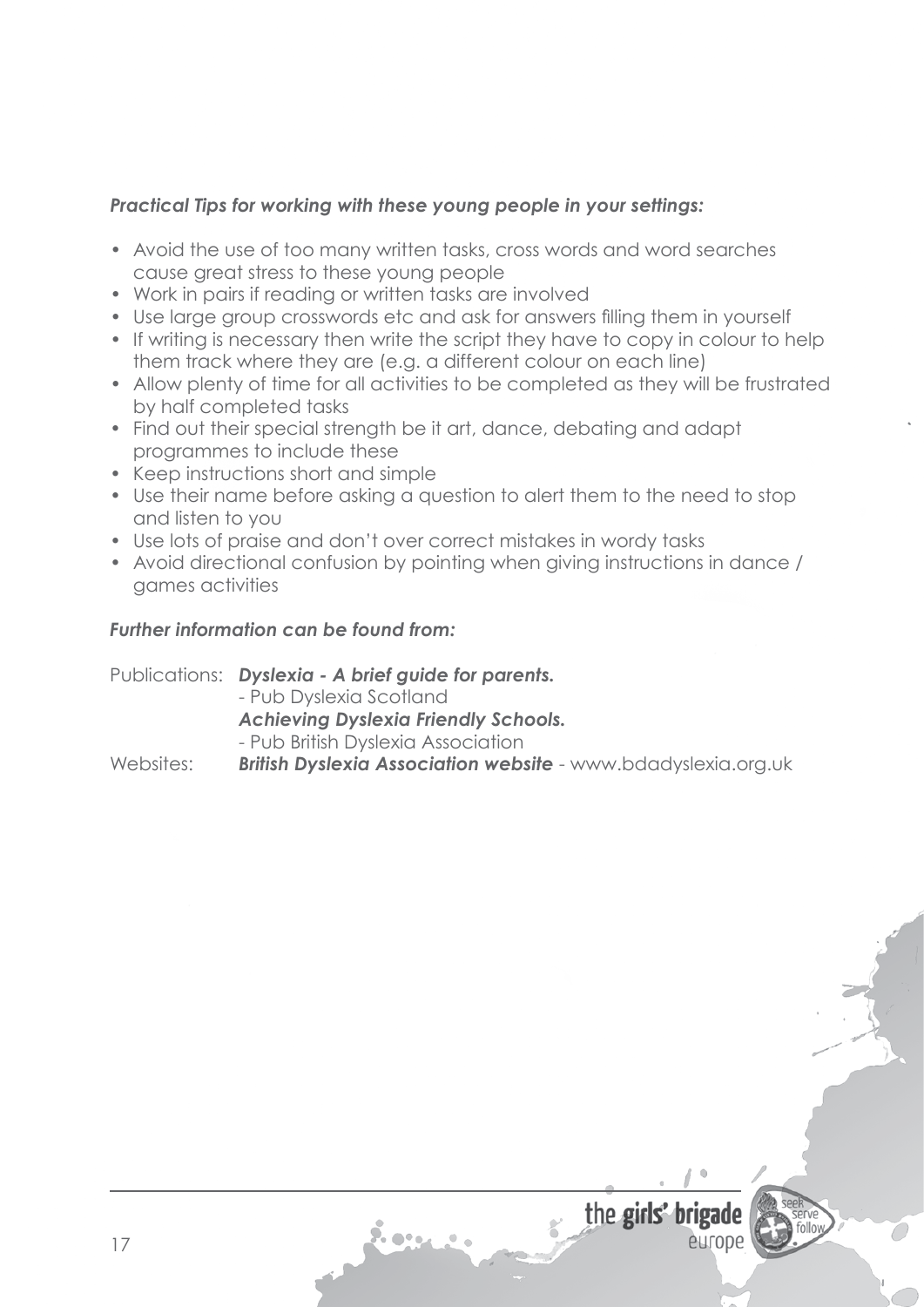- Avoid the use of too many written tasks, cross words and word searches cause great stress to these young people
- Work in pairs if reading or written tasks are involved
- Use large group crosswords etc and ask for answers filling them in yourself
- If writing is necessary then write the script they have to copy in colour to help them track where they are (e.g. a different colour on each line)
- Allow plenty of time for all activities to be completed as they will be frustrated by half completed tasks
- Find out their special strength be it art, dance, debating and adapt programmes to include these
- Keep instructions short and simple
- Use their name before asking a question to alert them to the need to stop and listen to you
- Use lots of praise and don't over correct mistakes in wordy tasks
- Avoid directional confusion by pointing when giving instructions in dance / games activities

### *Further information can be found from:*

Publications: *Dyslexia - A brief guide for parents.*

- Pub Dyslexia Scotland

*Achieving Dyslexia Friendly Schools.*

7. o•.

- Pub British Dyslexia Association

Websites: *British Dyslexia Association website* - www.bdadyslexia.org.uk

entope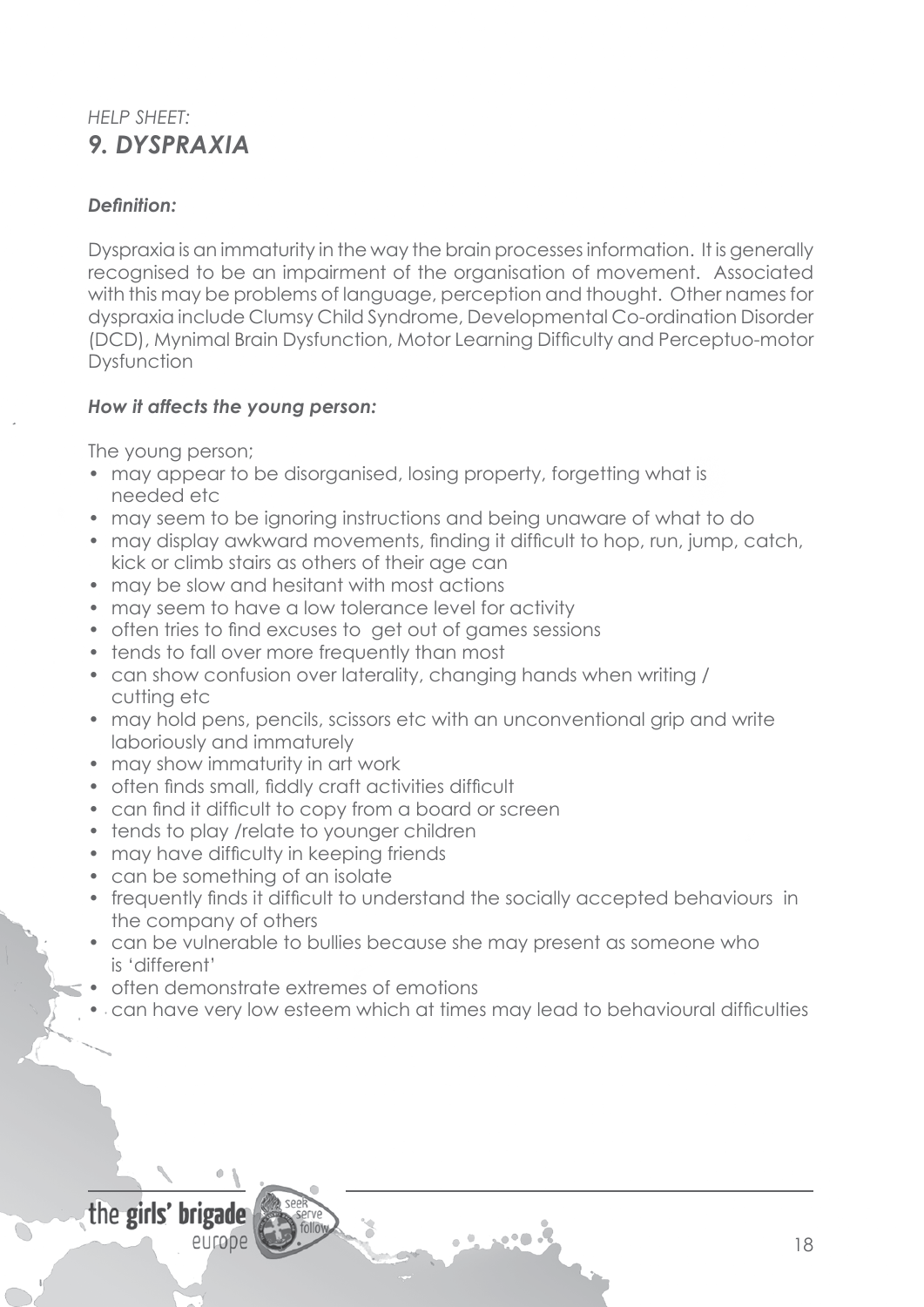# *HELP SHEET: 9. DYSPRAXIA*

## *Definition:*

Dyspraxia is an immaturity in the way the brain processesinformation. It is generally recognised to be an impairment of the organisation of movement. Associated with this may be problems of language, perception and thought. Other names for dyspraxia include Clumsy Child Syndrome, Developmental Co-ordination Disorder (DCD), Mynimal Brain Dysfunction, Motor Learning Difficulty and Perceptuo-motor **Dysfunction** 

### *How it affects the young person:*

The young person;

- may appear to be disorganised, losing property, forgetting what is needed etc
- may seem to be ignoring instructions and being unaware of what to do
- may display awkward movements, finding it difficult to hop, run, jump, catch, kick or climb stairs as others of their age can
- may be slow and hesitant with most actions
- may seem to have a low tolerance level for activity
- often tries to find excuses to get out of games sessions
- tends to fall over more frequently than most
- can show confusion over laterality, changing hands when writing / cutting etc
- may hold pens, pencils, scissors etc with an unconventional grip and write laboriously and immaturely
- may show immaturity in art work
- often finds small, fiddly craft activities difficult
- can find it difficult to copy from a board or screen
- tends to play /relate to younger children
- may have difficulty in keeping friends
- can be something of an isolate
- frequently finds it difficult to understand the socially accepted behaviours in the company of others
- can be vulnerable to bullies because she may present as someone who is 'different'
- often demonstrate extremes of emotions
- can have very low esteem which at times may lead to behavioural difficulties

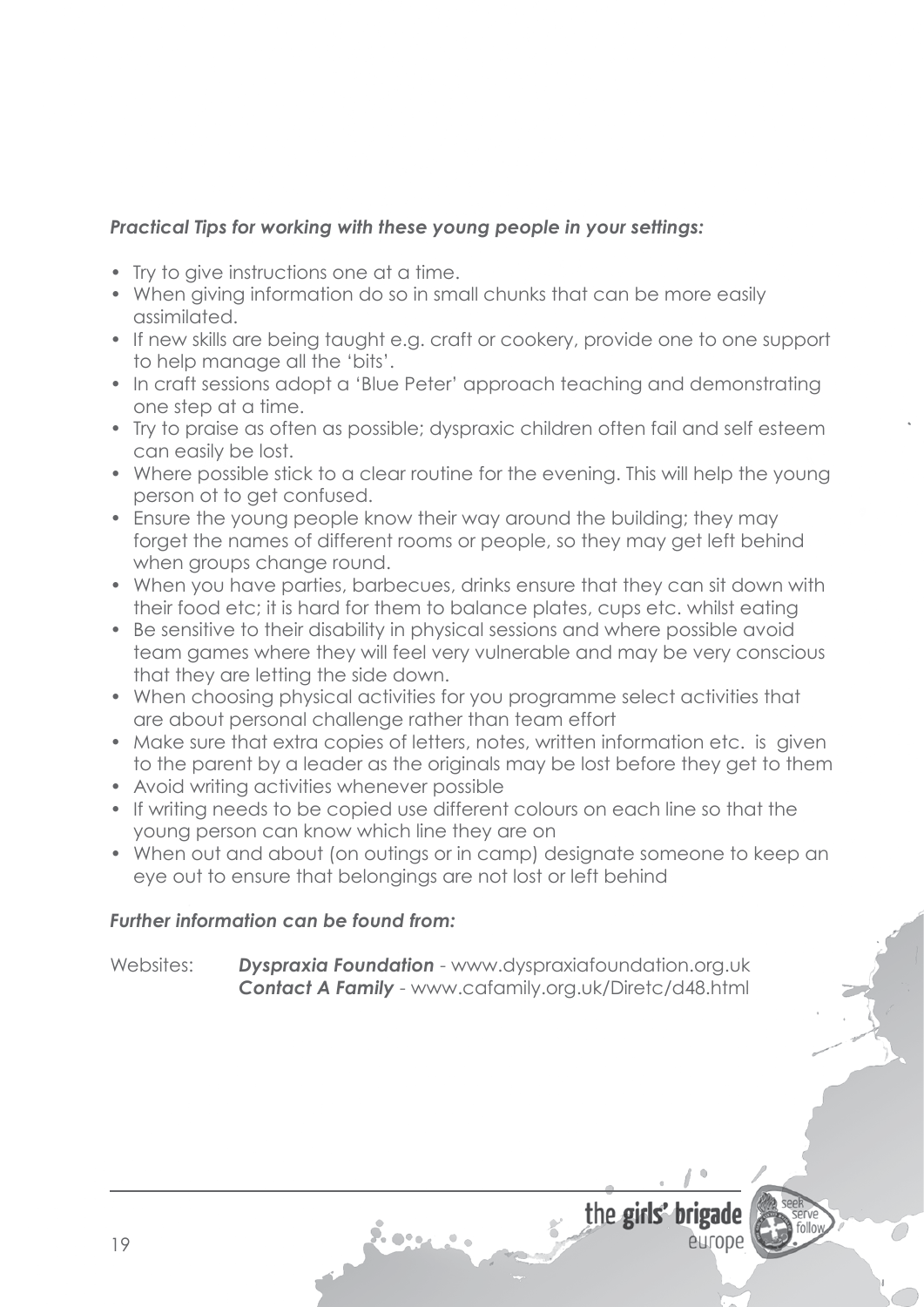- Try to give instructions one at a time.
- When giving information do so in small chunks that can be more easily assimilated.
- If new skills are being taught e.g. craft or cookery, provide one to one support to help manage all the 'bits'.
- In craft sessions adopt a 'Blue Peter' approach teaching and demonstrating one step at a time.
- Try to praise as often as possible; dyspraxic children often fail and self esteem can easily be lost.
- Where possible stick to a clear routine for the evening. This will help the young person ot to get confused.
- Ensure the young people know their way around the building; they may forget the names of different rooms or people, so they may get left behind when groups change round.
- When you have parties, barbecues, drinks ensure that they can sit down with their food etc; it is hard for them to balance plates, cups etc. whilst eating
- Be sensitive to their disability in physical sessions and where possible avoid team games where they will feel very vulnerable and may be very conscious that they are letting the side down.
- When choosing physical activities for you programme select activities that are about personal challenge rather than team effort
- Make sure that extra copies of letters, notes, written information etc. is given to the parent by a leader as the originals may be lost before they get to them
- Avoid writing activities whenever possible
- If writing needs to be copied use different colours on each line so that the young person can know which line they are on
- When out and about (on outings or in camp) designate someone to keep an eye out to ensure that belongings are not lost or left behind

## *Further information can be found from:*

Websites: *Dyspraxia Foundation* - www.dyspraxiafoundation.org.uk *Contact A Family* - www.cafamily.org.uk/Diretc/d48.html

2. o•.

the girls' brigade

entope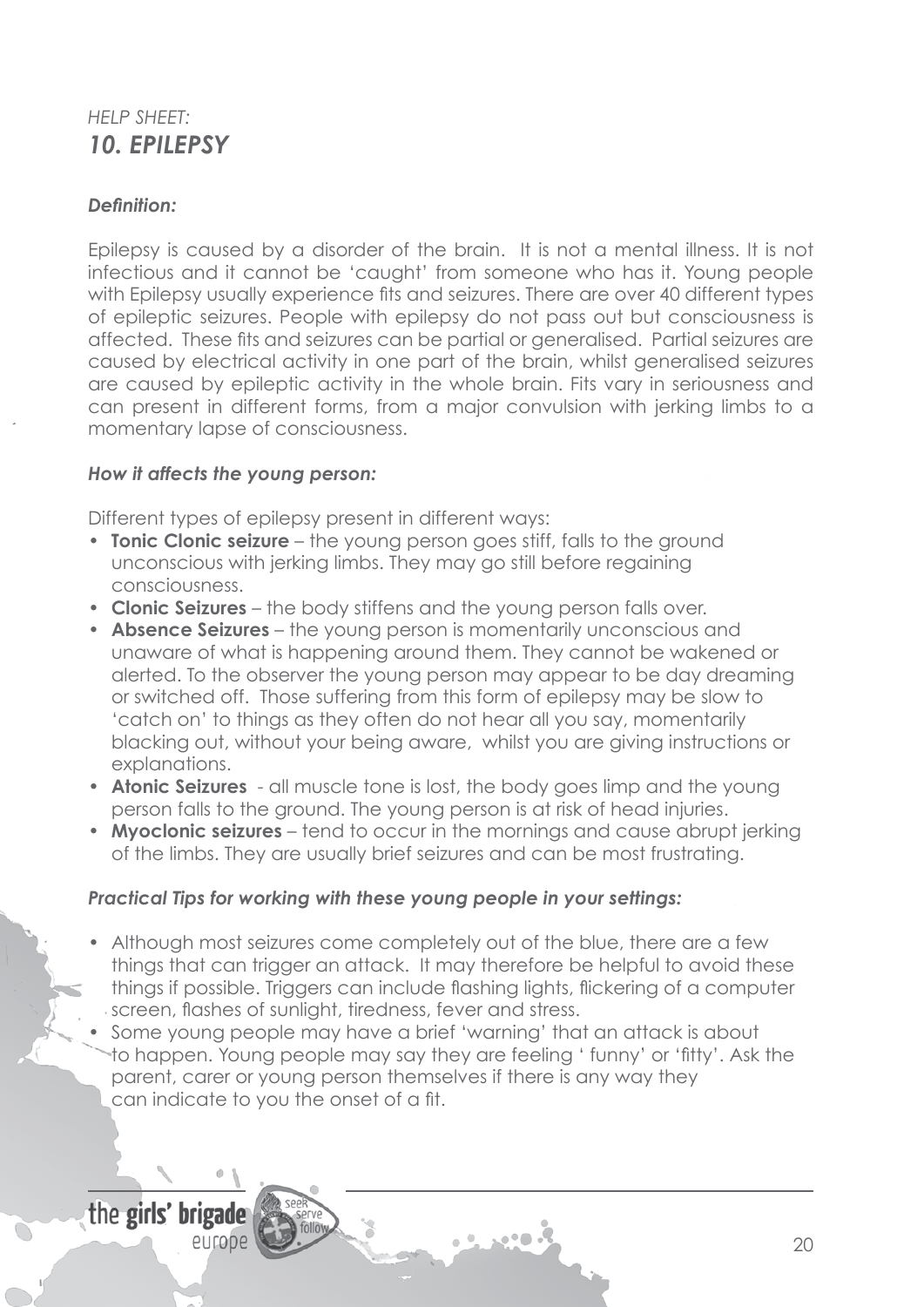# *HELP SHEET: 10. EPILEPSY*

### *Definition:*

Epilepsy is caused by a disorder of the brain. It is not a mental illness. It is not infectious and it cannot be 'caught' from someone who has it. Young people with Epilepsy usually experience fits and seizures. There are over 40 different types of epileptic seizures. People with epilepsy do not pass out but consciousness is affected. These fits and seizures can be partial or generalised. Partial seizures are caused by electrical activity in one part of the brain, whilst generalised seizures are caused by epileptic activity in the whole brain. Fits vary in seriousness and can present in different forms, from a major convulsion with jerking limbs to a momentary lapse of consciousness.

#### *How it affects the young person:*

Different types of epilepsy present in different ways:

- **Tonic Clonic seizure** the young person goes stiff, falls to the ground unconscious with jerking limbs. They may go still before regaining consciousness.
- • **Clonic Seizures**  the body stiffens and the young person falls over.
- **Absence Seizures** the young person is momentarily unconscious and unaware of what is happening around them. They cannot be wakened or alerted. To the observer the young person may appear to be day dreaming or switched off. Those suffering from this form of epilepsy may be slow to 'catch on' to things as they often do not hear all you say, momentarily blacking out, without your being aware, whilst you are giving instructions or explanations.
- **Atonic Seizures** all muscle tone is lost, the body goes limp and the young person falls to the ground. The young person is at risk of head injuries.
- **Myoclonic seizures** tend to occur in the mornings and cause abrupt jerking of the limbs. They are usually brief seizures and can be most frustrating.

#### *Practical Tips for working with these young people in your settings:*

- Although most seizures come completely out of the blue, there are a few things that can trigger an attack. It may therefore be helpful to avoid these things if possible. Triggers can include flashing lights, flickering of a computer screen, flashes of sunlight, tiredness, fever and stress.
- Some young people may have a brief 'warning' that an attack is about to happen. Young people may say they are feeling ' funny' or 'fitty'. Ask the parent, carer or young person themselves if there is any way they can indicate to you the onset of a fit.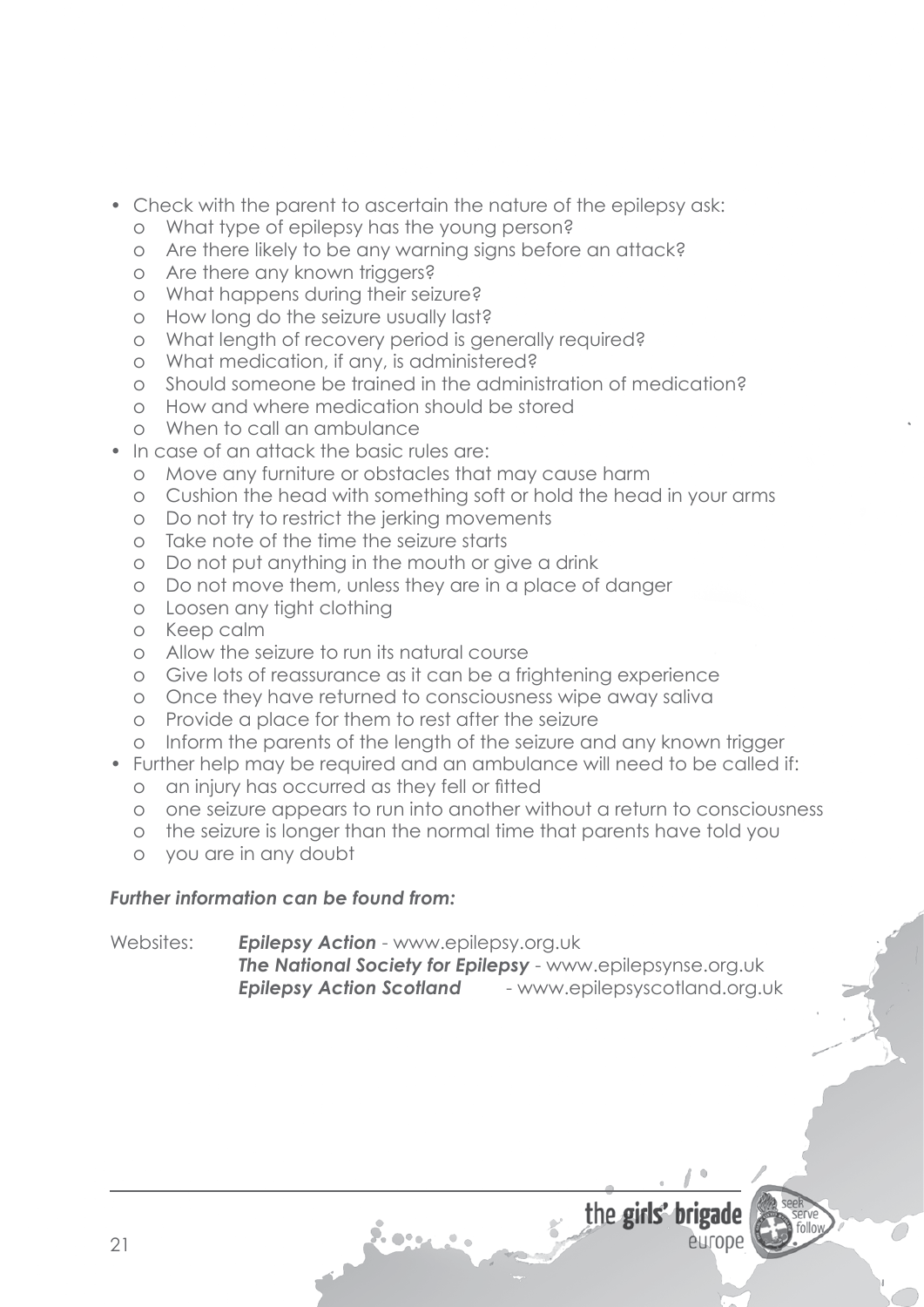- Check with the parent to ascertain the nature of the epilepsy ask:
	- o What type of epilepsy has the young person?
	- o Are there likely to be any warning signs before an attack?
	- o Are there any known triggers?
	- o What happens during their seizure?
	- o How long do the seizure usually last?
	- o What length of recovery period is generally required?
	- o What medication, if any, is administered?
	- o Should someone be trained in the administration of medication?
	- o How and where medication should be stored
	- o When to call an ambulance
- In case of an attack the basic rules are:
	- o Move any furniture or obstacles that may cause harm
	- o Cushion the head with something soft or hold the head in your arms
	- o Do not try to restrict the jerking movements
	- o Take note of the time the seizure starts
	- o Do not put anything in the mouth or give a drink
	- o Do not move them, unless they are in a place of danger
	- o Loosen any tight clothing
	- o Keep calm
	- o Allow the seizure to run its natural course
	- o Give lots of reassurance as it can be a frightening experience
	- o Once they have returned to consciousness wipe away saliva
	- o Provide a place for them to rest after the seizure
	- o Inform the parents of the length of the seizure and any known trigger
- Further help may be required and an ambulance will need to be called if:
	- o an injury has occurred as they fell or fitted
	- o one seizure appears to run into another without a return to consciousness
	- o the seizure is longer than the normal time that parents have told you
	- o you are in any doubt

### *Further information can be found from:*

Websites: *Epilepsy Action* - www.epilepsy.org.uk *The National Society for Epilepsy* - www.epilepsynse.org.uk *Epilepsy Action Scotland* - www.epilepsyscotland.org.uk

europe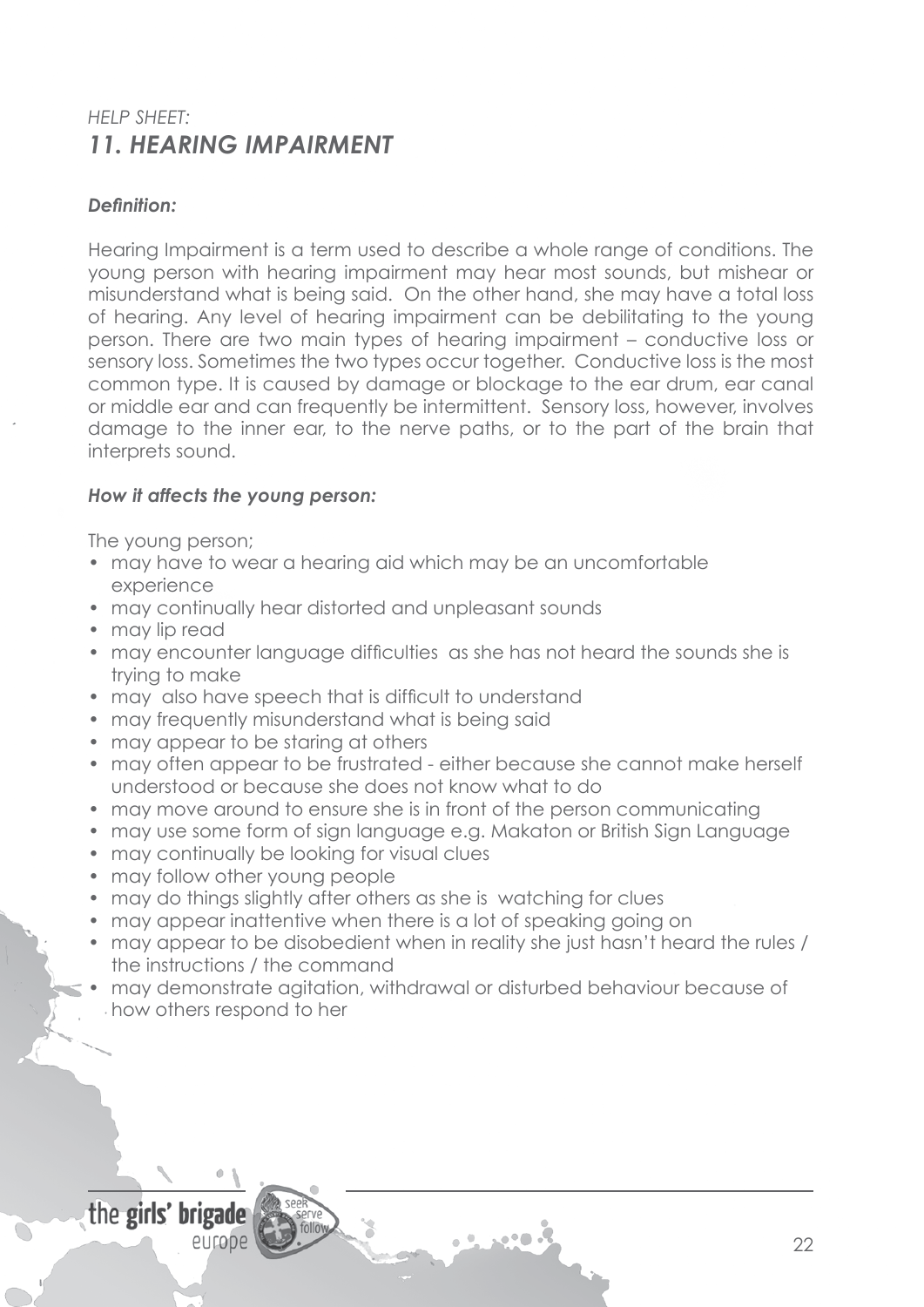# *HELP SHEET: 11. HEARING IMPAIRMENT*

### *Definition:*

Hearing Impairment is a term used to describe a whole range of conditions. The young person with hearing impairment may hear most sounds, but mishear or misunderstand what is being said. On the other hand, she may have a total loss of hearing. Any level of hearing impairment can be debilitating to the young person. There are two main types of hearing impairment – conductive loss or sensory loss. Sometimes the two types occur together. Conductive loss is the most common type. It is caused by damage or blockage to the ear drum, ear canal or middle ear and can frequently be intermittent. Sensory loss, however, involves damage to the inner ear, to the nerve paths, or to the part of the brain that interprets sound.

#### *How it affects the young person:*

The young person;

- may have to wear a hearing aid which may be an uncomfortable experience
- may continually hear distorted and unpleasant sounds
- may lip read
- may encounter language difficulties as she has not heard the sounds she is trying to make
- may also have speech that is difficult to understand
- may frequently misunderstand what is being said
- may appear to be staring at others
- may often appear to be frustrated either because she cannot make herself understood or because she does not know what to do
- may move around to ensure she is in front of the person communicating
- may use some form of sign language e.g. Makaton or British Sign Language
- may continually be looking for visual clues
- may follow other young people
- may do things slightly after others as she is watching for clues
- may appear inattentive when there is a lot of speaking going on
- may appear to be disobedient when in reality she just hasn't heard the rules / the instructions / the command
- may demonstrate agitation, withdrawal or disturbed behaviour because of how others respond to her

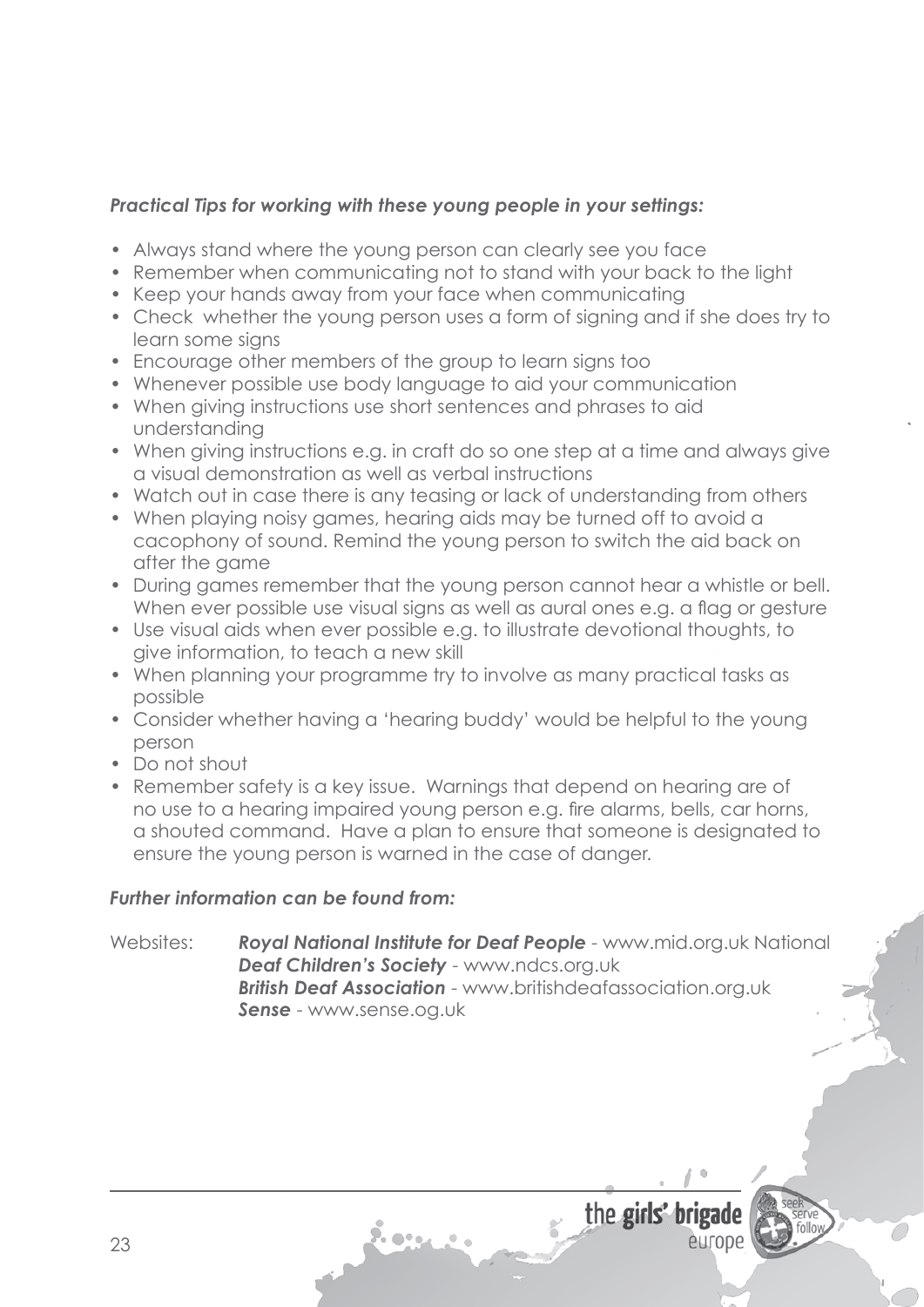- Always stand where the young person can clearly see you face
- Remember when communicating not to stand with your back to the light
- Keep your hands away from your face when communicating
- Check whether the young person uses a form of signing and if she does try to learn some signs
- Encourage other members of the group to learn signs too
- Whenever possible use body language to aid your communication
- When giving instructions use short sentences and phrases to aid understanding
- When giving instructions e.g. in craft do so one step at a time and always give a visual demonstration as well as verbal instructions
- Watch out in case there is any teasing or lack of understanding from others
- When playing noisy games, hearing aids may be turned off to avoid a cacophony of sound. Remind the young person to switch the aid back on after the game
- During games remember that the young person cannot hear a whistle or bell. When ever possible use visual signs as well as aural ones e.g. a flag or gesture
- Use visual aids when ever possible e.g. to illustrate devotional thoughts, to give information, to teach a new skill
- When planning your programme try to involve as many practical tasks as possible
- Consider whether having a 'hearing buddy' would be helpful to the young person
- • Do not shout
- Remember safety is a key issue. Warnings that depend on hearing are of no use to a hearing impaired young person e.g. fire alarms, bells, car horns, a shouted command. Have a plan to ensure that someone is designated to ensure the young person is warned in the case of danger.

### *Further information can be found from:*

Websites: **Royal National Institute for Deaf People** - www.mid.org.uk National *Deaf Children's Society* - www.ndcs.org.uk *British Deaf Association* - www.britishdeafassociation.org.uk *Sense* - www.sense.og.uk

7. o•.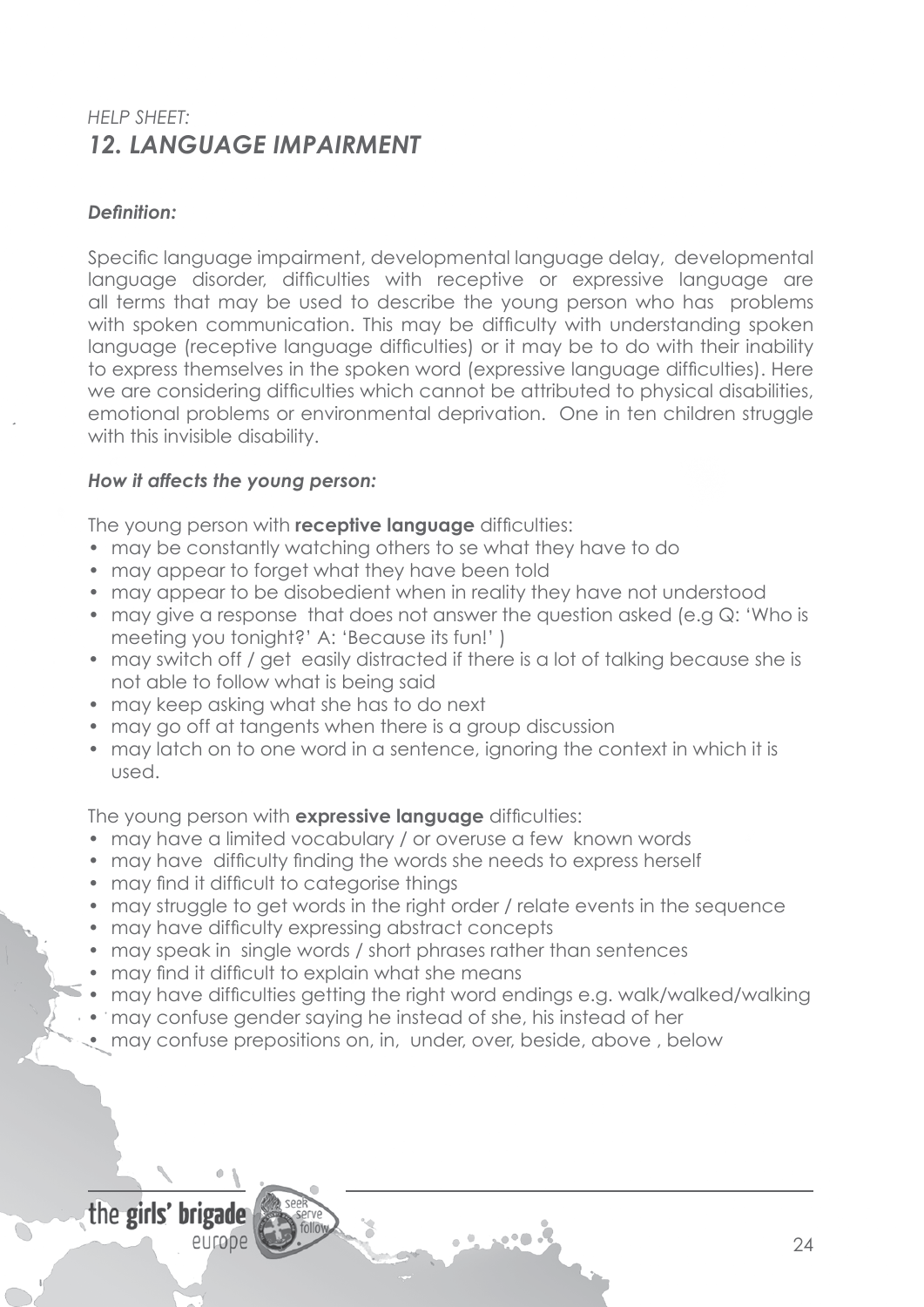# *HELP SHEET: 12. LANGUAGE IMPAIRMENT*

### *Definition:*

Specific language impairment, developmental language delay, developmental language disorder, difficulties with receptive or expressive language are all terms that may be used to describe the young person who has problems with spoken communication. This may be difficulty with understanding spoken language (receptive language difficulties) or it may be to do with their inability to express themselves in the spoken word (expressive language difficulties). Here we are considering difficulties which cannot be attributed to physical disabilities, emotional problems or environmental deprivation. One in ten children struggle with this invisible disability.

### *How it affects the young person:*

The young person with **receptive language** difficulties:

- may be constantly watching others to se what they have to do
- may appear to forget what they have been told
- may appear to be disobedient when in reality they have not understood
- may give a response that does not answer the question asked (e.g  $Q$ : 'Who is meeting you tonight?' A: 'Because its fun!' )
- may switch off / get easily distracted if there is a lot of talking because she is not able to follow what is being said
- may keep asking what she has to do next
- may go off at tangents when there is a group discussion
- may latch on to one word in a sentence, ignoring the context in which it is used.

The young person with **expressive language** difficulties:

- may have a limited vocabulary / or overuse a few known words
- may have difficulty finding the words she needs to express herself
- may find it difficult to categorise things
- may struggle to get words in the right order / relate events in the sequence
- may have difficulty expressing abstract concepts
- may speak in single words / short phrases rather than sentences
- may find it difficult to explain what she means
- may have difficulties getting the right word endings e.g. walk/walked/walking
- may confuse gender saying he instead of she, his instead of her
- may confuse prepositions on, in, under, over, beside, above, below

# the girls' brigade

europe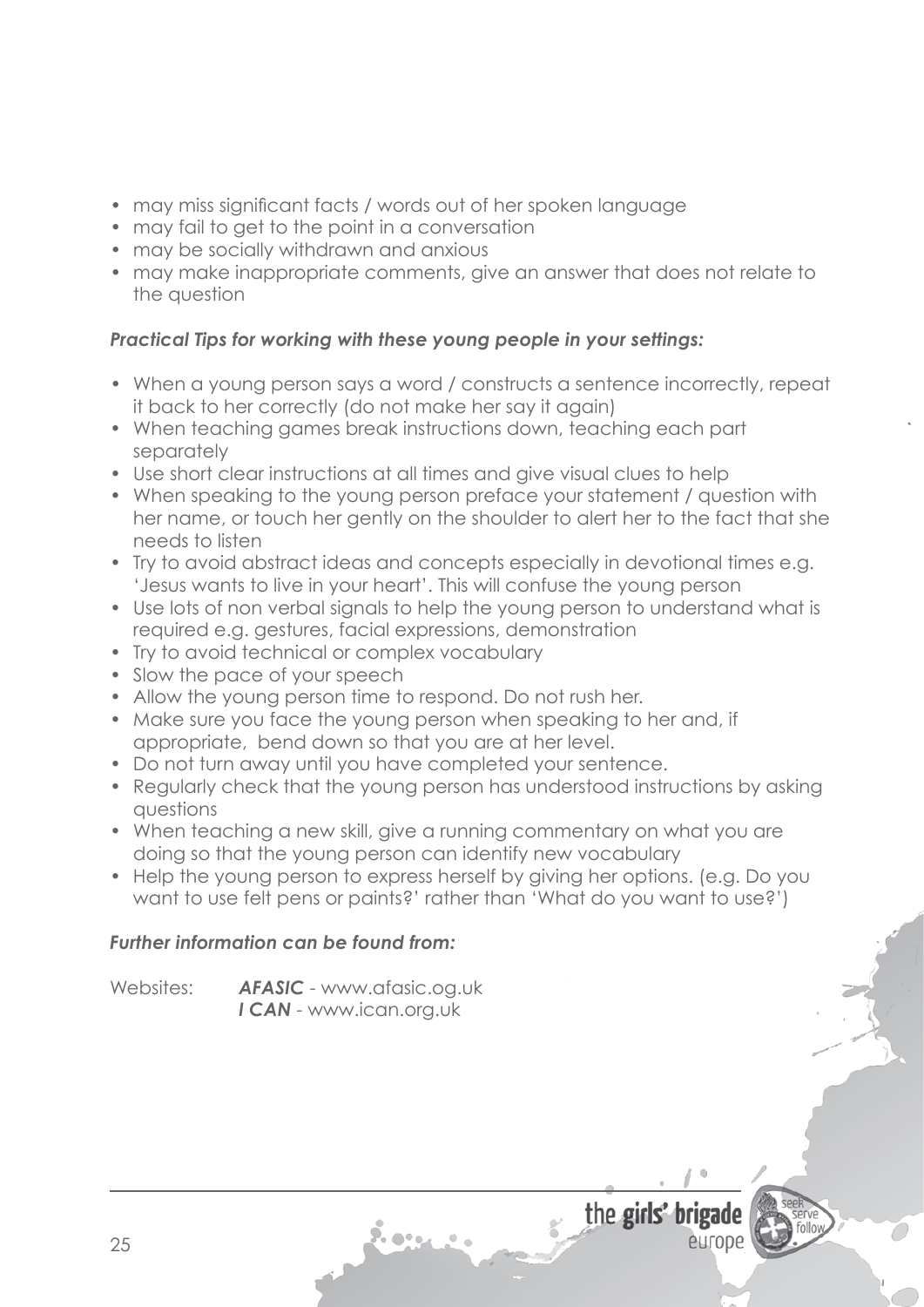- may miss significant facts / words out of her spoken language
- may fail to get to the point in a conversation
- may be socially withdrawn and anxious
- may make inappropriate comments, give an answer that does not relate to the question

- When a young person says a word / constructs a sentence incorrectly, repeat it back to her correctly (do not make her say it again)
- When teaching games break instructions down, teaching each part separately
- Use short clear instructions at all times and give visual clues to help
- When speaking to the young person preface your statement / question with her name, or touch her gently on the shoulder to alert her to the fact that she needs to listen
- Try to avoid abstract ideas and concepts especially in devotional times e.g. 'Jesus wants to live in your heart'. This will confuse the young person
- Use lots of non verbal signals to help the young person to understand what is required e.g. gestures, facial expressions, demonstration
- Try to avoid technical or complex vocabulary
- Slow the pace of your speech
- Allow the young person time to respond. Do not rush her.
- Make sure you face the young person when speaking to her and, if appropriate, bend down so that you are at her level.
- Do not turn away until you have completed your sentence.

7. o•.

- Regularly check that the young person has understood instructions by asking questions
- When teaching a new skill, give a running commentary on what you are doing so that the young person can identify new vocabulary
- Help the young person to express herself by giving her options. (e.g. Do you want to use felt pens or paints?' rather than 'What do you want to use?')

the girls' brigade

entope

## *Further information can be found from:*

Websites: **AFASIC** - www.afasic.og.uk  *I CAN* - www.ican.org.uk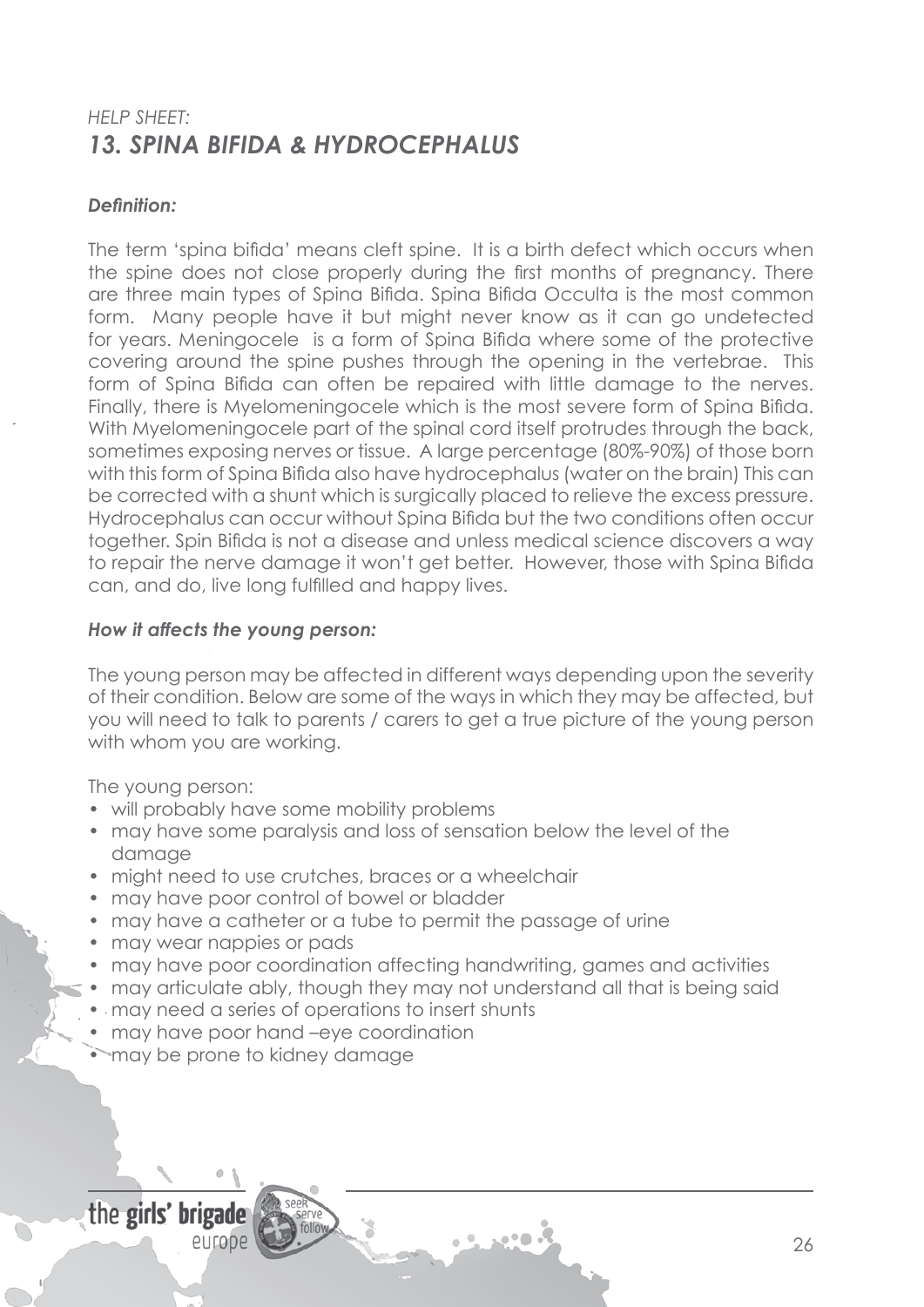# *HELP SHEET: 13. SPINA BIFIDA & HYDROCEPHALUS*

### *Definition:*

The term 'spina bifida' means cleft spine. It is a birth defect which occurs when the spine does not close properly during the first months of pregnancy. There are three main types of Spina Bifida. Spina Bifida Occulta is the most common form. Many people have it but might never know as it can go undetected for years. Meningocele is a form of Spina Bifida where some of the protective covering around the spine pushes through the opening in the vertebrae. This form of Spina Bifida can often be repaired with little damage to the nerves. Finally, there is Myelomeningocele which is the most severe form of Spina Bifida. With Myelomeningocele part of the spinal cord itself protrudes through the back, sometimes exposing nerves or tissue. A large percentage (80%-90%) of those born with this form of Spina Bifida also have hydrocephalus (water on the brain) This can be corrected with a shunt which is surgically placed to relieve the excess pressure. Hydrocephalus can occur without Spina Bifida but the two conditions often occur together. Spin Bifida is not a disease and unless medical science discovers a way to repair the nerve damage it won't get better. However, those with Spina Bifida can, and do, live long fulfilled and happy lives.

#### *How it affects the young person:*

The young person may be affected in different ways depending upon the severity of their condition. Below are some of the ways in which they may be affected, but you will need to talk to parents / carers to get a true picture of the young person with whom you are working.

The young person:

- will probably have some mobility problems
- may have some paralysis and loss of sensation below the level of the damage
- might need to use crutches, braces or a wheelchair
- may have poor control of bowel or bladder
- may have a catheter or a tube to permit the passage of urine
- may wear nappies or pads
- may have poor coordination affecting handwriting, games and activities
- may articulate ably, though they may not understand all that is being said
- may need a series of operations to insert shunts
- may have poor hand –eye coordination
- may be prone to kidney damage

# the girls' brigade

europe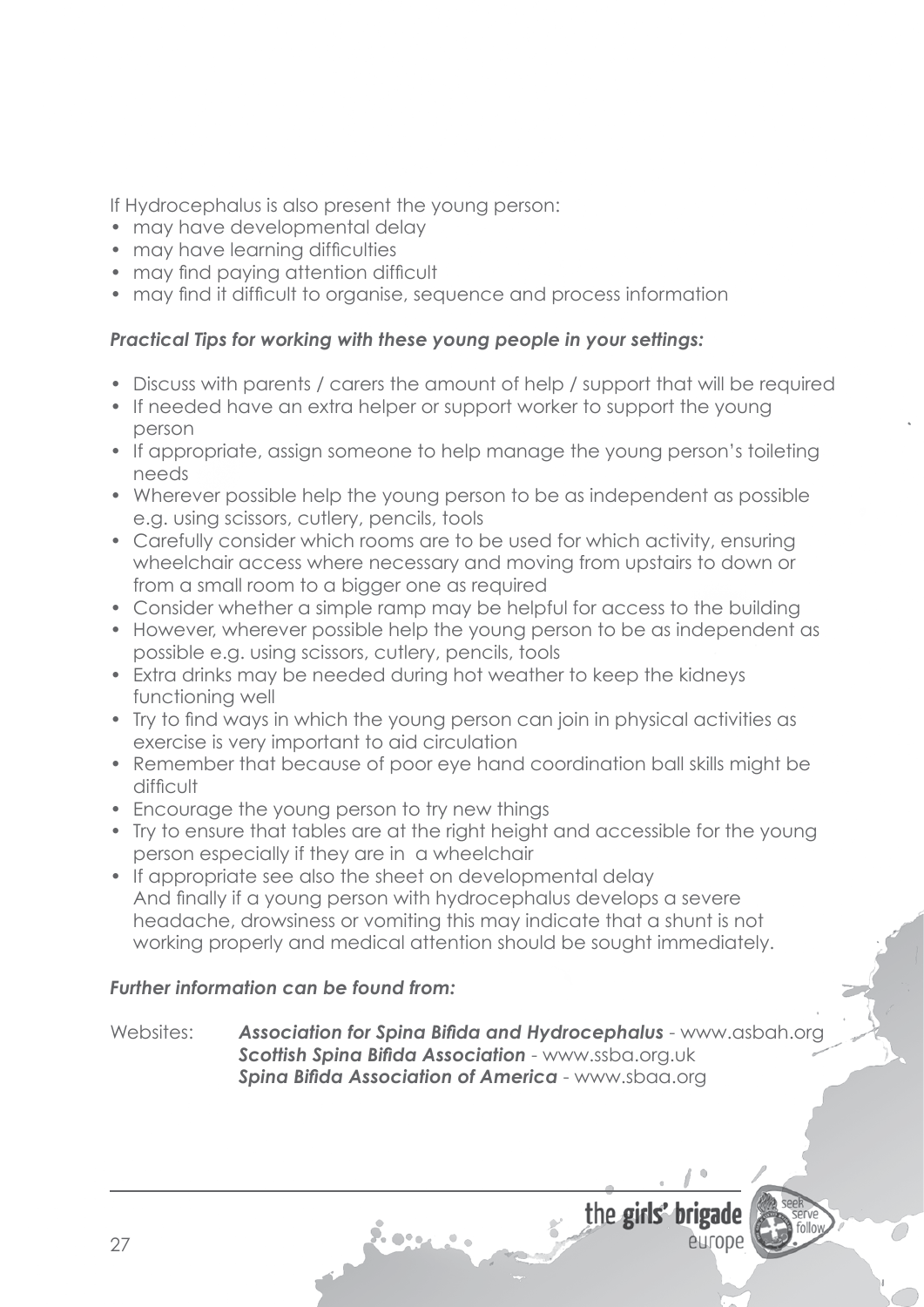If Hydrocephalus is also present the young person:

- may have developmental delay
- may have learning difficulties
- may find paying attention difficult
- may find it difficult to organise, sequence and process information

## *Practical Tips for working with these young people in your settings:*

- Discuss with parents / carers the amount of help / support that will be required
- If needed have an extra helper or support worker to support the young person
- If appropriate, assign someone to help manage the young person's toileting needs
- Wherever possible help the young person to be as independent as possible e.g. using scissors, cutlery, pencils, tools
- Carefully consider which rooms are to be used for which activity, ensuring wheelchair access where necessary and moving from upstairs to down or from a small room to a bigger one as required
- Consider whether a simple ramp may be helpful for access to the building
- However, wherever possible help the young person to be as independent as possible e.g. using scissors, cutlery, pencils, tools
- Extra drinks may be needed during hot weather to keep the kidneys functioning well
- Try to find ways in which the young person can join in physical activities as exercise is very important to aid circulation
- Remember that because of poor eye hand coordination ball skills might be difficult
- Encourage the young person to try new things
- Try to ensure that tables are at the right height and accessible for the young person especially if they are in a wheelchair
- If appropriate see also the sheet on developmental delay And finally if a young person with hydrocephalus develops a severe headache, drowsiness or vomiting this may indicate that a shunt is not working properly and medical attention should be sought immediately.

## *Further information can be found from:*

Websites: *Association for Spina Bifida and Hydrocephalus* - www.asbah.org *Scottish Spina Bifida Association* - www.ssba.org.uk *Spina Bifida Association of America* - www.sbaa.org

7. e .

the girls' b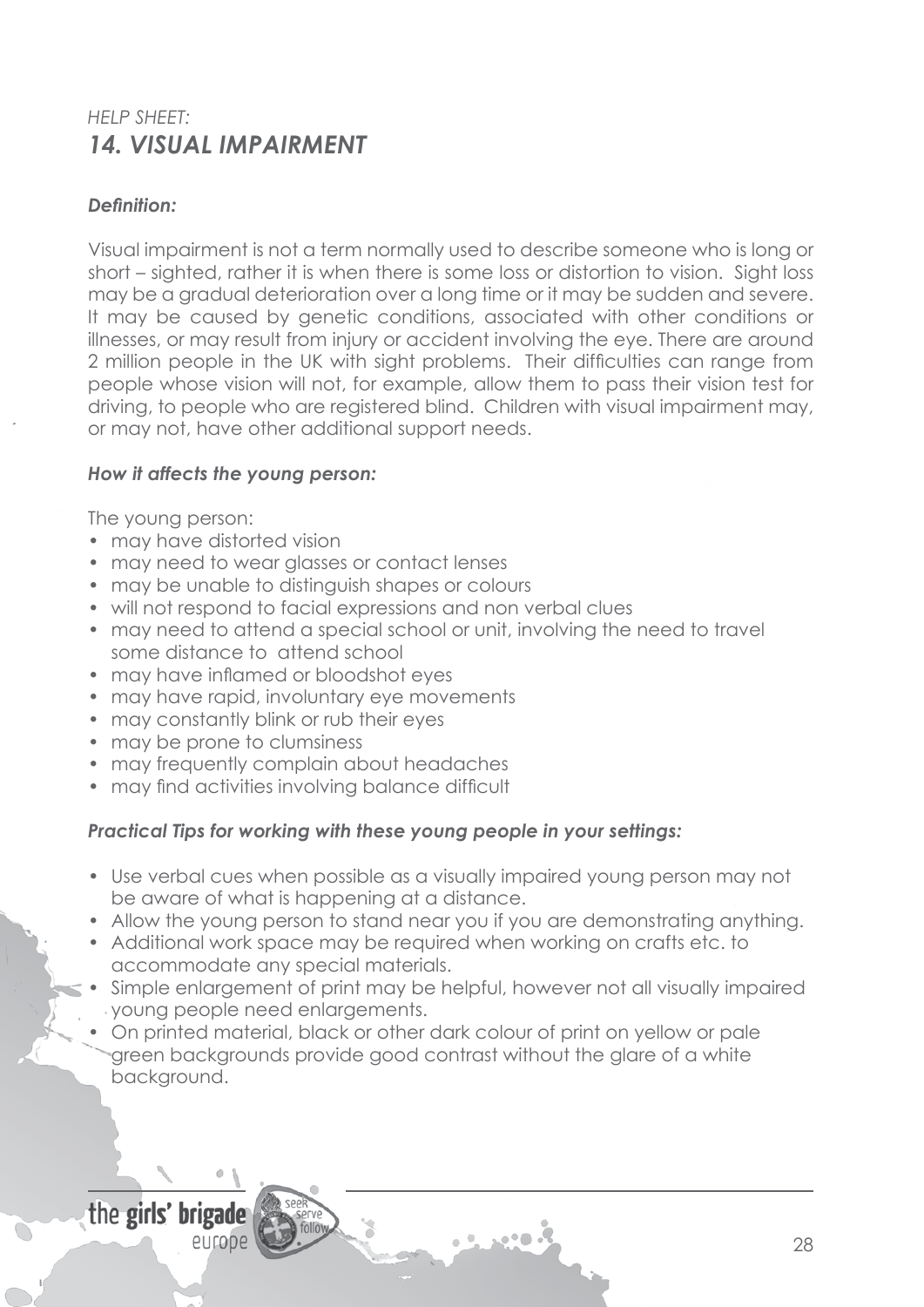# *HELP SHEET: 14. VISUAL IMPAIRMENT*

### *Definition:*

Visual impairment is not a term normally used to describe someone who is long or short – sighted, rather it is when there is some loss or distortion to vision. Sight loss may be a gradual deterioration over a long time or it may be sudden and severe. It may be caused by genetic conditions, associated with other conditions or illnesses, or may result from injury or accident involving the eye. There are around 2 million people in the UK with sight problems. Their difficulties can range from people whose vision will not, for example, allow them to pass their vision test for driving, to people who are registered blind. Children with visual impairment may, or may not, have other additional support needs.

### *How it affects the young person:*

The young person:

- may have distorted vision
- may need to wear glasses or contact lenses
- may be unable to distinguish shapes or colours
- will not respond to facial expressions and non verbal clues
- may need to attend a special school or unit, involving the need to travel some distance to attend school
- may have inflamed or bloodshot eyes
- may have rapid, involuntary eye movements
- may constantly blink or rub their eyes
- may be prone to clumsiness
- may frequently complain about headaches
- may find activities involving balance difficult

### *Practical Tips for working with these young people in your settings:*

- Use verbal cues when possible as a visually impaired young person may not be aware of what is happening at a distance.
- Allow the young person to stand near you if you are demonstrating anything.
- Additional work space may be required when working on crafts etc. to accommodate any special materials.
- Simple enlargement of print may be helpful, however not all visually impaired young people need enlargements.
- On printed material, black or other dark colour of print on yellow or pale green backgrounds provide good contrast without the glare of a white background.

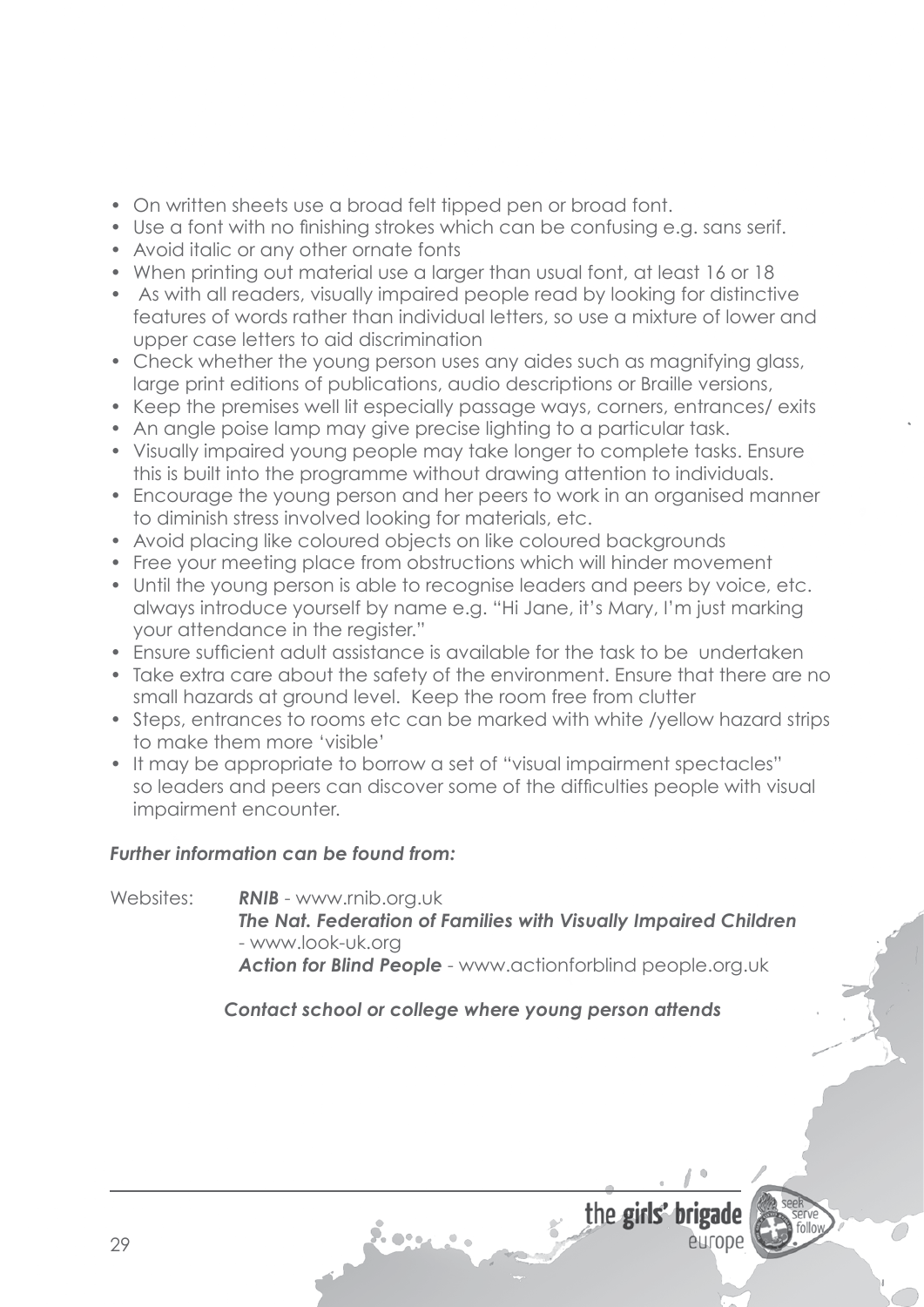- On written sheets use a broad felt tipped pen or broad font.
- Use a font with no finishing strokes which can be confusing e.g. sans serif.
- Avoid italic or any other ornate fonts
- When printing out material use a larger than usual font, at least 16 or 18
- As with all readers, visually impaired people read by looking for distinctive features of words rather than individual letters, so use a mixture of lower and upper case letters to aid discrimination
- Check whether the young person uses any aides such as magnifying glass, large print editions of publications, audio descriptions or Braille versions,
- Keep the premises well lit especially passage ways, corners, entrances/ exits
- An angle poise lamp may give precise lighting to a particular task.
- Visually impaired young people may take longer to complete tasks. Ensure this is built into the programme without drawing attention to individuals.
- Encourage the young person and her peers to work in an organised manner to diminish stress involved looking for materials, etc.
- Avoid placing like coloured objects on like coloured backgrounds
- Free your meeting place from obstructions which will hinder movement
- Until the young person is able to recognise leaders and peers by voice, etc. always introduce yourself by name e.g. "Hi Jane, it's Mary, I'm just marking your attendance in the register."
- Ensure sufficient adult assistance is available for the task to be undertaken
- Take extra care about the safety of the environment. Ensure that there are no small hazards at ground level. Keep the room free from clutter
- Steps, entrances to rooms etc can be marked with white /yellow hazard strips to make them more 'visible'
- It may be appropriate to borrow a set of "visual impairment spectacles" so leaders and peers can discover some of the difficulties people with visual impairment encounter.

### *Further information can be found from:*

Websites: *RNIB* - www.rnib.org.uk *The Nat. Federation of Families with Visually Impaired Children* - www.look-uk.org *Action for Blind People* - www.actionforblind people.org.uk

*Contact school or college where young person attends*



entope